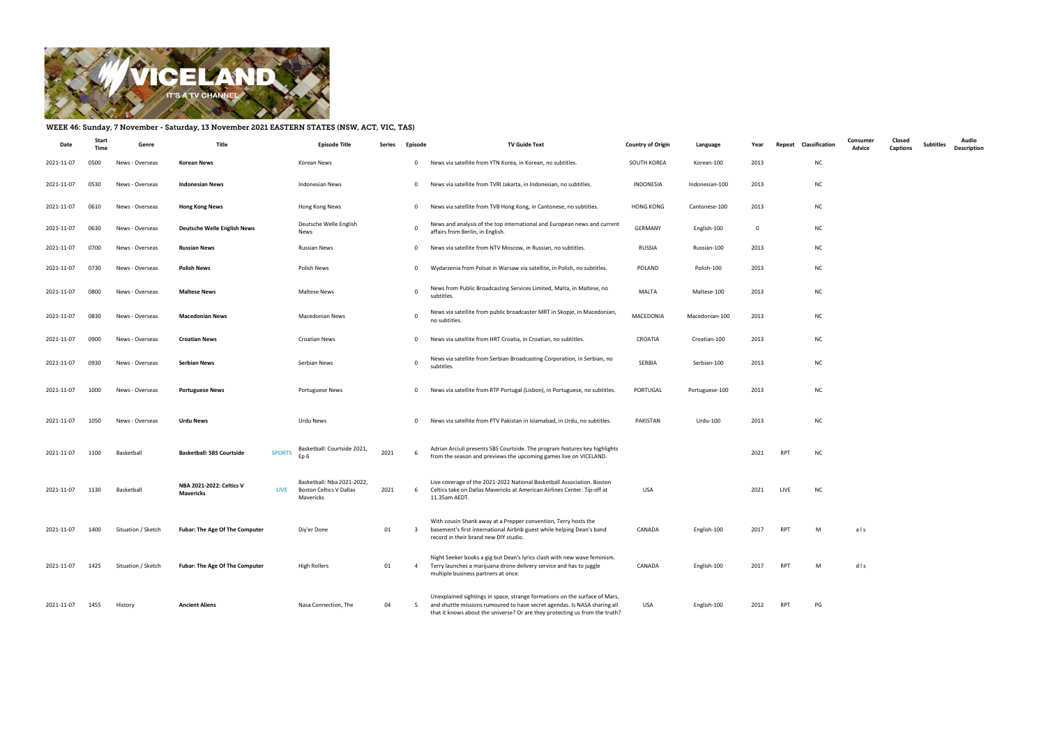

## WEEK 46: Sunday, 7 November - Saturday, 13 November 2021 EASTERN STATES (NSW, ACT, VIC, TAS)

| Date       | Start<br>Time | Genre              | Title                                                | <b>Episode Title</b>                                               | Series | Episode        | <b>TV Guide Text</b>                                                                                                                                                                                                                   | <b>Country of Origin</b> | Language       | Year | Classification<br>Repeat | Consumer<br>Advice | Closed<br>Captions | <b>Subtitles</b> | Audio<br><b>Description</b> |
|------------|---------------|--------------------|------------------------------------------------------|--------------------------------------------------------------------|--------|----------------|----------------------------------------------------------------------------------------------------------------------------------------------------------------------------------------------------------------------------------------|--------------------------|----------------|------|--------------------------|--------------------|--------------------|------------------|-----------------------------|
| 2021-11-07 | 0500          | News - Overseas    | <b>Korean News</b>                                   | Korean News                                                        |        | $\overline{0}$ | News via satellite from YTN Korea, in Korean, no subtitles.                                                                                                                                                                            | SOUTH KOREA              | Korean-100     | 2013 | <b>NC</b>                |                    |                    |                  |                             |
| 2021-11-07 | 0530          | News - Overseas    | <b>Indonesian News</b>                               | <b>Indonesian News</b>                                             |        | $\overline{0}$ | News via satellite from TVRI Jakarta, in Indonesian, no subtitles.                                                                                                                                                                     | <b>INDONESIA</b>         | Indonesian-100 | 2013 | <b>NC</b>                |                    |                    |                  |                             |
| 2021-11-07 | 0610          | News - Overseas    | <b>Hong Kong News</b>                                | Hong Kong News                                                     |        | $\mathbf{0}$   | News via satellite from TVB Hong Kong, in Cantonese, no subtitles.                                                                                                                                                                     | HONG KONG                | Cantonese-100  | 2013 | <b>NC</b>                |                    |                    |                  |                             |
| 2021-11-07 | 0630          | News - Overseas    | <b>Deutsche Welle English News</b>                   | Deutsche Welle English<br>News                                     |        | $\mathbf 0$    | News and analysis of the top international and European news and current<br>affairs from Berlin, in English.                                                                                                                           | <b>GERMANY</b>           | English-100    | 0    | <b>NC</b>                |                    |                    |                  |                             |
| 2021-11-07 | 0700          | News - Overseas    | <b>Russian News</b>                                  | Russian News                                                       |        | $\mathbf{0}$   | News via satellite from NTV Moscow, in Russian, no subtitles.                                                                                                                                                                          | RUSSIA                   | Russian-100    | 2013 | <b>NC</b>                |                    |                    |                  |                             |
| 2021-11-07 | 0730          | News - Overseas    | <b>Polish News</b>                                   | Polish News                                                        |        | $\mathbf{0}$   | Wydarzenia from Polsat in Warsaw via satellite, in Polish, no subtitles.                                                                                                                                                               | POLAND                   | Polish-100     | 2013 | <b>NC</b>                |                    |                    |                  |                             |
| 2021-11-07 | 0800          | News - Overseas    | <b>Maltese News</b>                                  | Maltese News                                                       |        | $\mathbf 0$    | News from Public Broadcasting Services Limited, Malta, in Maltese, no<br>subtitles.                                                                                                                                                    | <b>MALTA</b>             | Maltese-100    | 2013 | <b>NC</b>                |                    |                    |                  |                             |
| 2021-11-07 | 0830          | News - Overseas    | <b>Macedonian News</b>                               | <b>Macedonian News</b>                                             |        | $\mathbf 0$    | News via satellite from public broadcaster MRT in Skopje, in Macedonian,<br>no subtitles.                                                                                                                                              | MACEDONIA                | Macedonian-100 | 2013 | <b>NC</b>                |                    |                    |                  |                             |
| 2021-11-07 | 0900          | News - Overseas    | <b>Croatian News</b>                                 | Croatian News                                                      |        | $\mathbf{0}$   | News via satellite from HRT Croatia, in Croatian, no subtitles.                                                                                                                                                                        | CROATIA                  | Croatian-100   | 2013 | <b>NC</b>                |                    |                    |                  |                             |
| 2021-11-07 | 0930          | News - Overseas    | <b>Serbian News</b>                                  | Serbian News                                                       |        | $\mathbf 0$    | News via satellite from Serbian Broadcasting Corporation, in Serbian, no<br>subtitles.                                                                                                                                                 | SERBIA                   | Serbian-100    | 2013 | <b>NC</b>                |                    |                    |                  |                             |
| 2021-11-07 | 1000          | News - Overseas    | <b>Portuguese News</b>                               | <b>Portuguese News</b>                                             |        | $\mathbf{0}$   | News via satellite from RTP Portugal (Lisbon), in Portuguese, no subtitles.                                                                                                                                                            | PORTUGAL                 | Portuguese-100 | 2013 | <b>NC</b>                |                    |                    |                  |                             |
| 2021-11-07 | 1050          | News - Overseas    | <b>Urdu News</b>                                     | Urdu News                                                          |        | $\mathbf{0}$   | News via satellite from PTV Pakistan in Islamabad, in Urdu, no subtitles.                                                                                                                                                              | PAKISTAN                 | Urdu-100       | 2013 | <b>NC</b>                |                    |                    |                  |                             |
| 2021-11-07 | 1100          | Basketball         | <b>Basketball: SBS Courtside</b><br><b>SPORTS</b>    | Basketball: Courtside 2021,<br>Ep 6                                | 2021   | 6              | Adrian Arciuli presents SBS Courtside. The program features key highlights<br>from the season and previews the upcoming games live on VICELAND.                                                                                        |                          |                | 2021 | RPT<br><b>NC</b>         |                    |                    |                  |                             |
| 2021-11-07 | 1130          | Basketball         | NBA 2021-2022: Celtics V<br><b>LIVE</b><br>Mavericks | Basketball: Nba 2021-2022,<br>Boston Celtics V Dallas<br>Mavericks | 2021   | 6              | Live coverage of the 2021-2022 National Basketball Association. Boston<br>Celtics take on Dallas Mavericks at American Airlines Center. Tip-off at<br>11.35am AEDT.                                                                    | USA                      |                | 2021 | LIVE<br><b>NC</b>        |                    |                    |                  |                             |
| 2021-11-07 | 1400          | Situation / Sketch | <b>Fubar: The Age Of The Computer</b>                | Diy'er Done                                                        | 01     | $\overline{3}$ | With cousin Shank away at a Prepper convention, Terry hosts the<br>basement's first international Airbnb guest while helping Dean's band<br>record in their brand new DIY studio.                                                      | CANADA                   | English-100    | 2017 | RPT<br>M                 | als                |                    |                  |                             |
| 2021-11-07 | 1425          | Situation / Sketch | <b>Fubar: The Age Of The Computer</b>                | <b>High Rollers</b>                                                | 01     | $\overline{4}$ | Night Seeker books a gig but Dean's lyrics clash with new wave feminism.<br>Terry launches a marijuana drone delivery service and has to juggle<br>multiple business partners at once.                                                 | CANADA                   | English-100    | 2017 | RPT<br>M                 | dls                |                    |                  |                             |
| 2021-11-07 | 1455          | History            | <b>Ancient Aliens</b>                                | Nasa Connection, The                                               | 04     | 5              | Unexplained sightings in space, strange formations on the surface of Mars,<br>and shuttle missions rumoured to have secret agendas. Is NASA sharing all<br>that it knows about the universe? Or are they protecting us from the truth? | USA                      | English-100    | 2012 | PG<br>RPT                |                    |                    |                  |                             |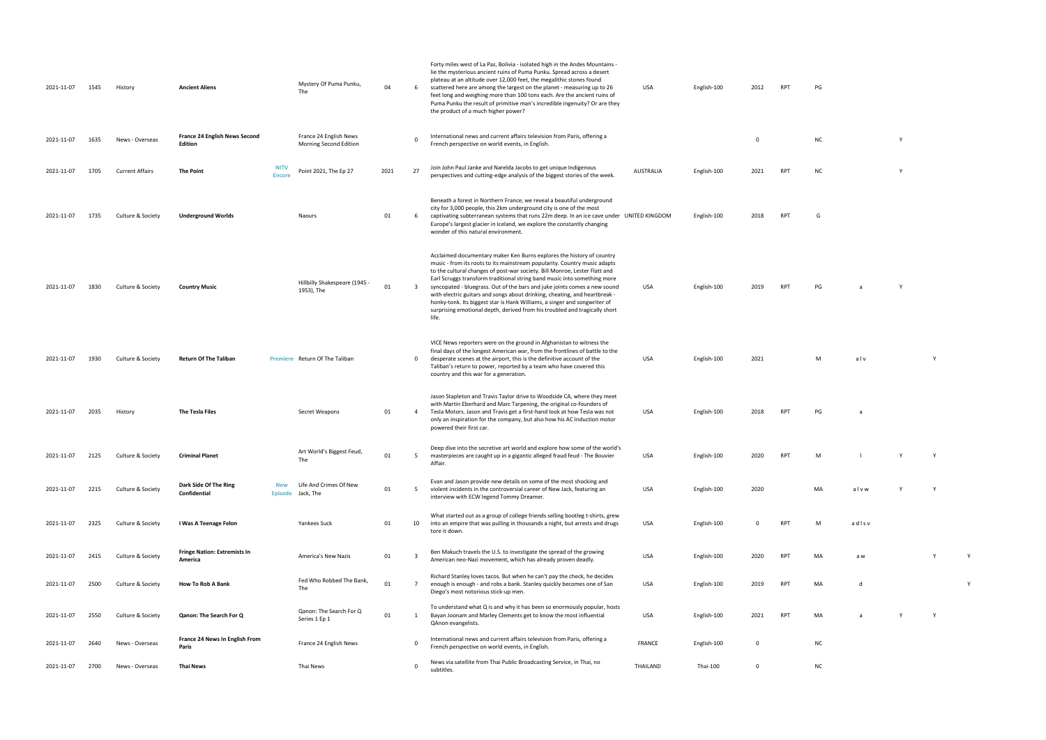| 2021-11-07 | 1545 | History                | <b>Ancient Aliens</b>                          |                              | Mystery Of Puma Punku,<br>The                    | 04   | 6              | Forty miles west of La Paz, Bolivia - isolated high in the Andes Mountains -<br>lie the mysterious ancient ruins of Puma Punku. Spread across a desert<br>plateau at an altitude over 12,000 feet, the megalithic stones found<br>scattered here are among the largest on the planet - measuring up to 26<br>feet long and weighing more than 100 tons each. Are the ancient ruins of<br>Puma Punku the result of primitive man's incredible ingenuity? Or are they<br>the product of a much higher power?                                                                                                                                  | USA           | English-100 | 2012         | <b>RPT</b> | PG        |       |          |   |   |
|------------|------|------------------------|------------------------------------------------|------------------------------|--------------------------------------------------|------|----------------|---------------------------------------------------------------------------------------------------------------------------------------------------------------------------------------------------------------------------------------------------------------------------------------------------------------------------------------------------------------------------------------------------------------------------------------------------------------------------------------------------------------------------------------------------------------------------------------------------------------------------------------------|---------------|-------------|--------------|------------|-----------|-------|----------|---|---|
| 2021-11-07 | 1635 | News - Overseas        | France 24 English News Second<br>Edition       |                              | France 24 English News<br>Morning Second Edition |      | $\mathbf 0$    | International news and current affairs television from Paris, offering a<br>French perspective on world events, in English.                                                                                                                                                                                                                                                                                                                                                                                                                                                                                                                 |               |             | 0            |            | <b>NC</b> |       | <b>Y</b> |   |   |
| 2021-11-07 | 1705 | <b>Current Affairs</b> | The Point                                      | <b>NITV</b><br><b>Encore</b> | Point 2021, The Ep 27                            | 2021 | 27             | Join John Paul Janke and Narelda Jacobs to get unique Indigenous<br>perspectives and cutting-edge analysis of the biggest stories of the week.                                                                                                                                                                                                                                                                                                                                                                                                                                                                                              | AUSTRALIA     | English-100 | 2021         | <b>RPT</b> | <b>NC</b> |       | <b>V</b> |   |   |
| 2021-11-07 | 1735 | Culture & Society      | <b>Underground Worlds</b>                      |                              | Naours                                           | 01   | - 6            | Beneath a forest in Northern France, we reveal a beautiful underground<br>city for 3,000 people, this 2km underground city is one of the most<br>captivating subterranean systems that runs 22m deep. In an ice cave under UNITED KINGDOM<br>Europe's largest glacier in Iceland, we explore the constantly changing<br>wonder of this natural environment.                                                                                                                                                                                                                                                                                 |               | English-100 | 2018         | <b>RPT</b> | G         |       |          |   |   |
| 2021-11-07 | 1830 | Culture & Society      | <b>Country Music</b>                           |                              | Hillbilly Shakespeare (1945 -<br>1953), The      | 01   | -3             | Acclaimed documentary maker Ken Burns explores the history of country<br>music - from its roots to its mainstream popularity. Country music adapts<br>to the cultural changes of post-war society. Bill Monroe, Lester Flatt and<br>Earl Scruggs transform traditional string band music into something more<br>syncopated - bluegrass. Out of the bars and juke joints comes a new sound<br>with electric guitars and songs about drinking, cheating, and heartbreak -<br>honky-tonk. Its biggest star is Hank Williams, a singer and songwriter of<br>surprising emotional depth, derived from his troubled and tragically short<br>life. | USA           | English-100 | 2019         | <b>RPT</b> | PG        | a     |          |   |   |
| 2021-11-07 | 1930 | Culture & Society      | <b>Return Of The Taliban</b>                   |                              | Premiere Return Of The Taliban                   |      | 0              | VICE News reporters were on the ground in Afghanistan to witness the<br>final days of the longest American war, from the frontlines of battle to the<br>desperate scenes at the airport, this is the definitive account of the<br>Taliban's return to power, reported by a team who have covered this<br>country and this war for a generation.                                                                                                                                                                                                                                                                                             | USA           | English-100 | 2021         |            | M         | alv   |          | Y |   |
| 2021-11-07 | 2035 | History                | The Tesla Files                                |                              | Secret Weapons                                   | 01   | -4             | Jason Stapleton and Travis Taylor drive to Woodside CA, where they meet<br>with Martin Eberhard and Marc Tarpening, the original co-founders of<br>Tesla Motors. Jason and Travis get a first-hand look at how Tesla was not<br>only an inspiration for the company, but also how his AC Induction motor<br>powered their first car.                                                                                                                                                                                                                                                                                                        | USA           | English-100 | 2018         | <b>RPT</b> | PG        | a     |          |   |   |
| 2021-11-07 | 2125 | Culture & Society      | <b>Criminal Planet</b>                         |                              | Art World's Biggest Feud,<br>The                 | 01   | 5              | Deep dive into the secretive art world and explore how some of the world's<br>masterpieces are caught up in a gigantic alleged fraud feud - The Bouvier<br>Affair.                                                                                                                                                                                                                                                                                                                                                                                                                                                                          | USA           | English-100 | 2020         | <b>RPT</b> | M         |       |          | Y |   |
| 2021-11-07 | 2215 | Culture & Society      | Dark Side Of The Ring<br>Confidential          | <b>New</b><br><b>Episode</b> | Life And Crimes Of New<br>Jack, The              | 01   | - 5            | Evan and Jason provide new details on some of the most shocking and<br>violent incidents in the controversial career of New Jack, featuring an<br>interview with ECW legend Tommy Dreamer.                                                                                                                                                                                                                                                                                                                                                                                                                                                  | USA           | English-100 | 2020         |            | MA        | alvw  |          | Y |   |
| 2021-11-07 | 2325 | Culture & Society      | I Was A Teenage Felon                          |                              | Yankees Suck                                     | 01   | 10             | What started out as a group of college friends selling bootleg t-shirts, grew<br>into an empire that was pulling in thousands a night, but arrests and drugs<br>tore it down.                                                                                                                                                                                                                                                                                                                                                                                                                                                               | USA           | English-100 | $\Omega$     | <b>RPT</b> | M         | adlsv |          |   |   |
| 2021-11-07 | 2415 | Culture & Society      | <b>Fringe Nation: Extremists In</b><br>America |                              | America's New Nazis                              | 01   | 3              | Ben Makuch travels the U.S. to investigate the spread of the growing<br>American neo-Nazi movement, which has already proven deadly.                                                                                                                                                                                                                                                                                                                                                                                                                                                                                                        | USA           | English-100 | 2020         | <b>RPT</b> | MA        | a w   |          | Υ |   |
| 2021-11-07 | 2500 | Culture & Society      | <b>How To Rob A Bank</b>                       |                              | Fed Who Robbed The Bank,<br>The                  | 01   | $\overline{7}$ | Richard Stanley loves tacos. But when he can't pay the check, he decides<br>enough is enough - and robs a bank. Stanley quickly becomes one of San<br>Diego's most notorious stick-up men.                                                                                                                                                                                                                                                                                                                                                                                                                                                  | USA           | English-100 | 2019         | <b>RPT</b> | MA        | d     |          |   | Y |
| 2021-11-07 | 2550 | Culture & Society      | Qanon: The Search For Q                        |                              | Qanon: The Search For Q<br>Series 1 Ep 1         | 01   |                | To understand what Q is and why it has been so enormously popular, hosts<br>Bayan Joonam and Marley Clements get to know the most influential<br>QAnon evangelists.                                                                                                                                                                                                                                                                                                                                                                                                                                                                         | USA           | English-100 | 2021         | <b>RPT</b> | MA        | a     |          | Y |   |
| 2021-11-07 | 2640 | News - Overseas        | France 24 News In English From<br>Paris        |                              | France 24 English News                           |      | $\Omega$       | International news and current affairs television from Paris, offering a<br>French perspective on world events, in English.                                                                                                                                                                                                                                                                                                                                                                                                                                                                                                                 | <b>FRANCE</b> | English-100 | $\mathbf 0$  |            | NC        |       |          |   |   |
| 2021-11-07 | 2700 | News - Overseas        | <b>Thai News</b>                               |                              | Thai News                                        |      | $\Omega$       | News via satellite from Thai Public Broadcasting Service, in Thai, no<br>subtitles.                                                                                                                                                                                                                                                                                                                                                                                                                                                                                                                                                         | THAILAND      | Thai-100    | $\mathbf{0}$ |            | <b>NC</b> |       |          |   |   |

| PG |  |  |  |
|----|--|--|--|
|    |  |  |  |

| ΝC | Y |
|----|---|

| NC | Υ |  |
|----|---|--|
|    |   |  |

| G |  |  |  |
|---|--|--|--|
|   |  |  |  |
|   |  |  |  |

| PG | a | Υ |
|----|---|---|
|    |   |   |
|    |   |   |
|    |   |   |

| M | $a$ l v |  |
|---|---------|--|

| PG | a |
|----|---|
|    |   |
|    |   |

| M | - 1 | Y |
|---|-----|---|
|   |     |   |
|   |     |   |

| МA | alvw | ٧ | v |
|----|------|---|---|
|    |      |   |   |

| M  | adisv |   |
|----|-------|---|
|    |       |   |
| МA | a w   | Υ |

| English-100 | 2019 | <b>RPT</b> | MA | d | v |
|-------------|------|------------|----|---|---|
|             |      |            |    |   |   |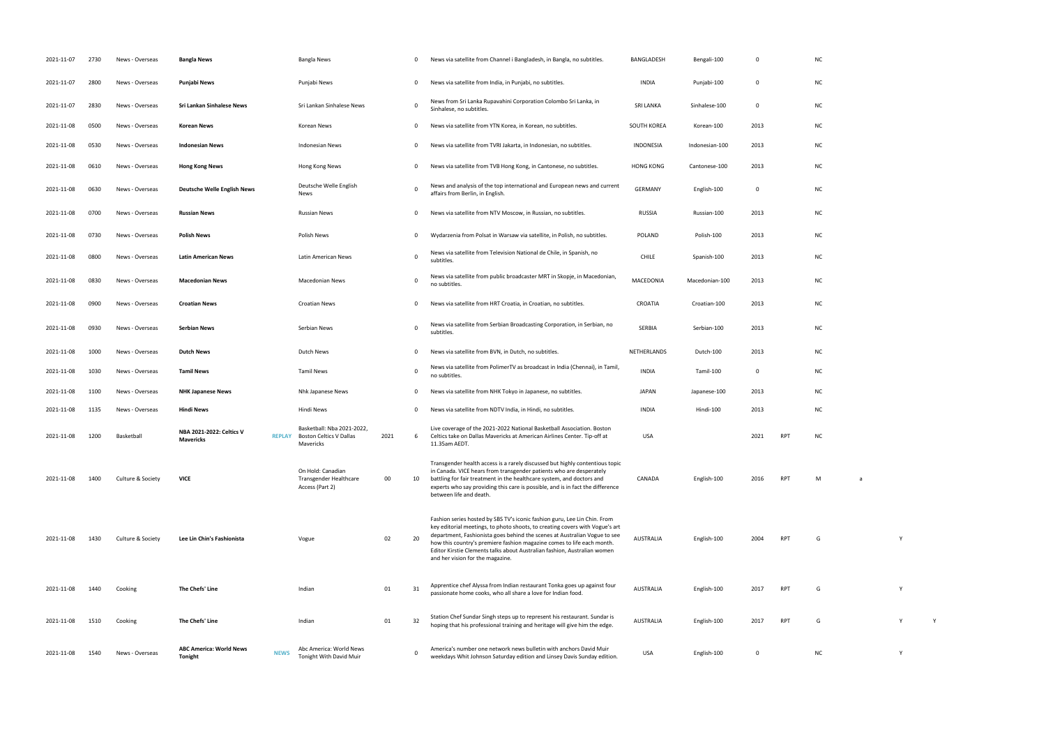| 2021-11-07 | 2730 | News - Overseas   | <b>Bangla News</b>                        |             | Bangla News                                                                      |      | 0            | News via satellite from Channel i Bangladesh, in Bangla, no subtitles.                                                                                                                                                                                                                                                                                                                                                           | BANGLADESH       | Bengali-100    | $\Omega$    |            | <b>NC</b> |   |   |  |
|------------|------|-------------------|-------------------------------------------|-------------|----------------------------------------------------------------------------------|------|--------------|----------------------------------------------------------------------------------------------------------------------------------------------------------------------------------------------------------------------------------------------------------------------------------------------------------------------------------------------------------------------------------------------------------------------------------|------------------|----------------|-------------|------------|-----------|---|---|--|
| 2021-11-07 | 2800 | News - Overseas   | Punjabi News                              |             | Punjabi News                                                                     |      | 0            | News via satellite from India, in Punjabi, no subtitles.                                                                                                                                                                                                                                                                                                                                                                         | <b>INDIA</b>     | Punjabi-100    | $\mathbf 0$ |            | <b>NC</b> |   |   |  |
| 2021-11-07 | 2830 | News - Overseas   | Sri Lankan Sinhalese News                 |             | Sri Lankan Sinhalese News                                                        |      | $\mathbf{0}$ | News from Sri Lanka Rupavahini Corporation Colombo Sri Lanka, in<br>Sinhalese, no subtitles.                                                                                                                                                                                                                                                                                                                                     | SRI LANKA        | Sinhalese-100  | $\mathbf 0$ |            | <b>NC</b> |   |   |  |
| 2021-11-08 | 0500 | News - Overseas   | Korean News                               |             | Korean News                                                                      |      | 0            | News via satellite from YTN Korea, in Korean, no subtitles.                                                                                                                                                                                                                                                                                                                                                                      | SOUTH KOREA      | Korean-100     | 2013        |            | <b>NC</b> |   |   |  |
| 2021-11-08 | 0530 | News - Overseas   | <b>Indonesian News</b>                    |             | <b>Indonesian News</b>                                                           |      | 0            | News via satellite from TVRI Jakarta, in Indonesian, no subtitles.                                                                                                                                                                                                                                                                                                                                                               | INDONESIA        | Indonesian-100 | 2013        |            | NC        |   |   |  |
| 2021-11-08 | 0610 | News - Overseas   | <b>Hong Kong News</b>                     |             | Hong Kong News                                                                   |      | 0            | News via satellite from TVB Hong Kong, in Cantonese, no subtitles.                                                                                                                                                                                                                                                                                                                                                               | <b>HONG KONG</b> | Cantonese-100  | 2013        |            | NC        |   |   |  |
| 2021-11-08 | 0630 | News - Overseas   | <b>Deutsche Welle English News</b>        |             | Deutsche Welle English<br>News                                                   |      | 0            | News and analysis of the top international and European news and current<br>affairs from Berlin, in English.                                                                                                                                                                                                                                                                                                                     | <b>GERMANY</b>   | English-100    | $\mathbf 0$ |            | <b>NC</b> |   |   |  |
| 2021-11-08 | 0700 | News - Overseas   | <b>Russian News</b>                       |             | <b>Russian News</b>                                                              |      | 0            | News via satellite from NTV Moscow, in Russian, no subtitles.                                                                                                                                                                                                                                                                                                                                                                    | <b>RUSSIA</b>    | Russian-100    | 2013        |            | <b>NC</b> |   |   |  |
| 2021-11-08 | 0730 | News - Overseas   | <b>Polish News</b>                        |             | Polish News                                                                      |      | 0            | Wydarzenia from Polsat in Warsaw via satellite, in Polish, no subtitles.                                                                                                                                                                                                                                                                                                                                                         | <b>POLAND</b>    | Polish-100     | 2013        |            | <b>NC</b> |   |   |  |
| 2021-11-08 | 0800 | News - Overseas   | <b>Latin American News</b>                |             | Latin American News                                                              |      | 0            | News via satellite from Television National de Chile, in Spanish, no<br>subtitles.                                                                                                                                                                                                                                                                                                                                               | <b>CHILE</b>     | Spanish-100    | 2013        |            | <b>NC</b> |   |   |  |
| 2021-11-08 | 0830 | News - Overseas   | <b>Macedonian News</b>                    |             | <b>Macedonian News</b>                                                           |      | 0            | News via satellite from public broadcaster MRT in Skopje, in Macedonian,<br>no subtitles.                                                                                                                                                                                                                                                                                                                                        | MACEDONIA        | Macedonian-100 | 2013        |            | <b>NC</b> |   |   |  |
| 2021-11-08 | 0900 | News - Overseas   | <b>Croatian News</b>                      |             | <b>Croatian News</b>                                                             |      | 0            | News via satellite from HRT Croatia, in Croatian, no subtitles.                                                                                                                                                                                                                                                                                                                                                                  | CROATIA          | Croatian-100   | 2013        |            | NC        |   |   |  |
| 2021-11-08 | 0930 | News - Overseas   | <b>Serbian News</b>                       |             | Serbian News                                                                     |      | 0            | News via satellite from Serbian Broadcasting Corporation, in Serbian, no<br>subtitles.                                                                                                                                                                                                                                                                                                                                           | SERBIA           | Serbian-100    | 2013        |            | <b>NC</b> |   |   |  |
| 2021-11-08 | 1000 | News - Overseas   | <b>Dutch News</b>                         |             | Dutch News                                                                       |      | 0            | News via satellite from BVN, in Dutch, no subtitles.                                                                                                                                                                                                                                                                                                                                                                             | NETHERLANDS      | Dutch-100      | 2013        |            | <b>NC</b> |   |   |  |
| 2021-11-08 | 1030 | News - Overseas   | <b>Tamil News</b>                         |             | <b>Tamil News</b>                                                                |      | $\mathbf 0$  | News via satellite from PolimerTV as broadcast in India (Chennai), in Tamil,<br>no subtitles.                                                                                                                                                                                                                                                                                                                                    | <b>INDIA</b>     | Tamil-100      | 0           |            | <b>NC</b> |   |   |  |
| 2021-11-08 | 1100 | News - Overseas   | <b>NHK Japanese News</b>                  |             | Nhk Japanese News                                                                |      | 0            | News via satellite from NHK Tokyo in Japanese, no subtitles.                                                                                                                                                                                                                                                                                                                                                                     | <b>JAPAN</b>     | Japanese-100   | 2013        |            | <b>NC</b> |   |   |  |
| 2021-11-08 | 1135 | News - Overseas   | <b>Hindi News</b>                         |             | Hindi News                                                                       |      | 0            | News via satellite from NDTV India, in Hindi, no subtitles.                                                                                                                                                                                                                                                                                                                                                                      | <b>INDIA</b>     | Hindi-100      | 2013        |            | <b>NC</b> |   |   |  |
| 2021-11-08 | 1200 | Basketball        | NBA 2021-2022: Celtics V<br>Mavericks     |             | Basketball: Nba 2021-2022,<br><b>REPLAY</b> Boston Celtics V Dallas<br>Mavericks | 2021 | 6            | Live coverage of the 2021-2022 National Basketball Association. Boston<br>Celtics take on Dallas Mavericks at American Airlines Center. Tip-off at<br>11.35am AEDT.                                                                                                                                                                                                                                                              | <b>USA</b>       |                | 2021        | <b>RPT</b> | ΝC        |   |   |  |
| 2021-11-08 | 1400 | Culture & Society | <b>VICE</b>                               |             | On Hold: Canadian<br>Transgender Healthcare<br>Access (Part 2)                   | 00   | 10           | Transgender health access is a rarely discussed but highly contentious topic<br>in Canada. VICE hears from transgender patients who are desperately<br>battling for fair treatment in the healthcare system, and doctors and<br>experts who say providing this care is possible, and is in fact the difference<br>between life and death.                                                                                        | CANADA           | English-100    | 2016        | <b>RPT</b> | м         | a |   |  |
| 2021-11-08 | 1430 | Culture & Society | Lee Lin Chin's Fashionista                |             | Vogue                                                                            | 02   | 20           | Fashion series hosted by SBS TV's iconic fashion guru, Lee Lin Chin. From<br>key editorial meetings, to photo shoots, to creating covers with Vogue's art<br>department, Fashionista goes behind the scenes at Australian Vogue to see<br>how this country's premiere fashion magazine comes to life each month.<br>Editor Kirstie Clements talks about Australian fashion, Australian women<br>and her vision for the magazine. | <b>AUSTRALIA</b> | English-100    | 2004        | <b>RPT</b> | G         |   |   |  |
| 2021-11-08 | 1440 | Cooking           | The Chefs' Line                           |             | Indian                                                                           | 01   | 31           | Apprentice chef Alyssa from Indian restaurant Tonka goes up against four<br>passionate home cooks, who all share a love for Indian food.                                                                                                                                                                                                                                                                                         | AUSTRALIA        | English-100    | 2017        | <b>RPT</b> | G         |   | Y |  |
| 2021-11-08 | 1510 | Cooking           | The Chefs' Line                           |             | Indian                                                                           | 01   | 32           | Station Chef Sundar Singh steps up to represent his restaurant. Sundar is<br>hoping that his professional training and heritage will give him the edge.                                                                                                                                                                                                                                                                          | AUSTRALIA        | English-100    | 2017        | <b>RPT</b> | G         |   |   |  |
| 2021-11-08 | 1540 | News - Overseas   | <b>ABC America: World News</b><br>Tonight | <b>NEWS</b> | Abc America: World News<br>Tonight With David Muir                               |      | 0            | America's number one network news bulletin with anchors David Muir<br>weekdays Whit Johnson Saturday edition and Linsey Davis Sunday edition.                                                                                                                                                                                                                                                                                    | USA              | English-100    | 0           |            | NC        |   | Y |  |

|     | $\sf NC$      |                |  |              |             |  |  |
|-----|---------------|----------------|--|--------------|-------------|--|--|
|     | $NC$          |                |  |              |             |  |  |
|     | ${\sf NC}$    |                |  |              |             |  |  |
|     | $NC$          |                |  |              |             |  |  |
|     | $NC$          |                |  |              |             |  |  |
|     | $NC$          |                |  |              |             |  |  |
|     | ${\sf NC}$    |                |  |              |             |  |  |
|     | $\sf NC$      |                |  |              |             |  |  |
|     | $NC$          |                |  |              |             |  |  |
|     | $\sf NC$      |                |  |              |             |  |  |
|     | ${\sf NC}$    |                |  |              |             |  |  |
|     | $NC$          |                |  |              |             |  |  |
|     | $\sf NC$      |                |  |              |             |  |  |
|     | NC            |                |  |              |             |  |  |
|     | $\sf NC$      |                |  |              |             |  |  |
|     | ${\sf NC}$    |                |  |              |             |  |  |
|     | $NC$          |                |  |              |             |  |  |
| RPT | ${\sf NC}$    |                |  |              |             |  |  |
|     |               |                |  |              |             |  |  |
| RPT | M             | $\overline{a}$ |  |              |             |  |  |
|     |               |                |  |              |             |  |  |
|     |               |                |  |              |             |  |  |
| RPT | ${\mathsf G}$ |                |  | $\mathsf{Y}$ |             |  |  |
|     |               |                |  |              |             |  |  |
| RPT | ${\mathsf G}$ |                |  | Υ            |             |  |  |
| RPT | G             |                |  | Υ            | $\mathsf Y$ |  |  |
|     |               |                |  |              |             |  |  |
|     | NC.           |                |  | Y            |             |  |  |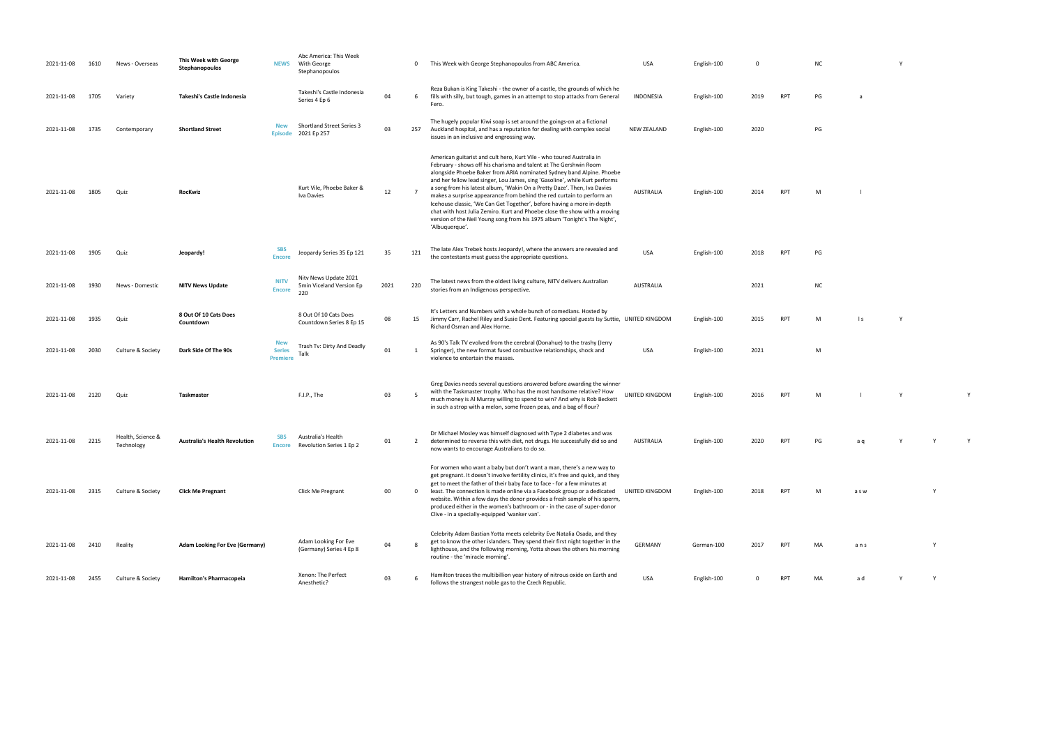| 2021-11-08 | 1610 | News - Overseas                 | This Week with George<br>Stephanopoulos |                                                | Abc America: This Week<br>NEWS With George<br>Stephanopoulos |      | $\mathbf{0}$   | This Week with George Stephanopoulos from ABC America.                                                                                                                                                                                                                                                                                                                                                                                                                                                                                                                                                                                                                                                        | <b>USA</b>            | English-100 |             |            | <b>NC</b> |                 | Y |
|------------|------|---------------------------------|-----------------------------------------|------------------------------------------------|--------------------------------------------------------------|------|----------------|---------------------------------------------------------------------------------------------------------------------------------------------------------------------------------------------------------------------------------------------------------------------------------------------------------------------------------------------------------------------------------------------------------------------------------------------------------------------------------------------------------------------------------------------------------------------------------------------------------------------------------------------------------------------------------------------------------------|-----------------------|-------------|-------------|------------|-----------|-----------------|---|
| 2021-11-08 | 1705 | Variety                         | Takeshi's Castle Indonesia              |                                                | Takeshi's Castle Indonesia<br>Series 4 Ep 6                  | 04   | 6              | Reza Bukan is King Takeshi - the owner of a castle, the grounds of which he<br>fills with silly, but tough, games in an attempt to stop attacks from General<br>Fero.                                                                                                                                                                                                                                                                                                                                                                                                                                                                                                                                         | INDONESIA             | English-100 | 2019        | <b>RPT</b> | PG        | a               |   |
| 2021-11-08 | 1735 | Contemporary                    | <b>Shortland Street</b>                 | <b>New</b><br><b>Episode</b>                   | <b>Shortland Street Series 3</b><br>2021 Ep 257              | 03   | 257            | The hugely popular Kiwi soap is set around the goings-on at a fictional<br>Auckland hospital, and has a reputation for dealing with complex social<br>issues in an inclusive and engrossing way.                                                                                                                                                                                                                                                                                                                                                                                                                                                                                                              | <b>NEW ZEALAND</b>    | English-100 | 2020        |            | PG        |                 |   |
| 2021-11-08 | 1805 | Quiz                            | RocKwiz                                 |                                                | Kurt Vile, Phoebe Baker &<br>Iva Davies                      | 12   | $\overline{7}$ | American guitarist and cult hero, Kurt Vile - who toured Australia in<br>February - shows off his charisma and talent at The Gershwin Room<br>alongside Phoebe Baker from ARIA nominated Sydney band Alpine. Phoebe<br>and her fellow lead singer, Lou James, sing 'Gasoline', while Kurt performs<br>a song from his latest album, 'Wakin On a Pretty Daze'. Then, Iva Davies<br>makes a surprise appearance from behind the red curtain to perform an<br>Icehouse classic, 'We Can Get Together', before having a more in-depth<br>chat with host Julia Zemiro. Kurt and Phoebe close the show with a moving<br>version of the Neil Young song from his 1975 album 'Tonight's The Night',<br>'Albuquerque'. | AUSTRALIA             | English-100 | 2014        | <b>RPT</b> | M         |                 |   |
| 2021-11-08 | 1905 | Quiz                            | Jeopardy!                               | <b>SBS</b><br><b>Encore</b>                    | Jeopardy Series 35 Ep 121                                    | 35   | 121            | The late Alex Trebek hosts Jeopardy!, where the answers are revealed and<br>the contestants must guess the appropriate questions.                                                                                                                                                                                                                                                                                                                                                                                                                                                                                                                                                                             | <b>USA</b>            | English-100 | 2018        | <b>RPT</b> | PG        |                 |   |
| 2021-11-08 | 1930 | News - Domestic                 | <b>NITV News Update</b>                 | <b>NITV</b><br><b>Encore</b>                   | Nitv News Update 2021<br>5min Viceland Version Ep<br>220     | 2021 | 220            | The latest news from the oldest living culture, NITV delivers Australian<br>stories from an Indigenous perspective.                                                                                                                                                                                                                                                                                                                                                                                                                                                                                                                                                                                           | <b>AUSTRALIA</b>      |             | 2021        |            | <b>NC</b> |                 |   |
| 2021-11-08 | 1935 | Quiz                            | 8 Out Of 10 Cats Does<br>Countdown      |                                                | 8 Out Of 10 Cats Does<br>Countdown Series 8 Ep 15            | 08   | 15             | It's Letters and Numbers with a whole bunch of comedians. Hosted by<br>Jimmy Carr, Rachel Riley and Susie Dent. Featuring special guests Isy Suttie, UNITED KINGDOM<br>Richard Osman and Alex Horne.                                                                                                                                                                                                                                                                                                                                                                                                                                                                                                          |                       | English-100 | 2015        | <b>RPT</b> | M         | $\vert s \vert$ | Y |
| 2021-11-08 | 2030 | Culture & Society               | Dark Side Of The 90s                    | <b>New</b><br><b>Series</b><br><b>Premiere</b> | Trash Tv: Dirty And Deadly<br>Talk                           | 01   | 1              | As 90's Talk TV evolved from the cerebral (Donahue) to the trashy (Jerry<br>Springer), the new format fused combustive relationships, shock and<br>violence to entertain the masses.                                                                                                                                                                                                                                                                                                                                                                                                                                                                                                                          | USA                   | English-100 | 2021        |            | M         |                 |   |
| 2021-11-08 | 2120 | Quiz                            | Taskmaster                              |                                                | F.I.P., The                                                  | 03   | -5             | Greg Davies needs several questions answered before awarding the winner<br>with the Taskmaster trophy. Who has the most handsome relative? How<br>much money is Al Murray willing to spend to win? And why is Rob Beckett<br>in such a strop with a melon, some frozen peas, and a bag of flour?                                                                                                                                                                                                                                                                                                                                                                                                              | <b>UNITED KINGDOM</b> | English-100 | 2016        | <b>RPT</b> | M         |                 | Y |
| 2021-11-08 | 2215 | Health, Science &<br>Technology | <b>Australia's Health Revolution</b>    | <b>SBS</b><br><b>Encore</b>                    | Australia's Health<br>Revolution Series 1 Ep 2               | 01   | $\overline{2}$ | Dr Michael Mosley was himself diagnosed with Type 2 diabetes and was<br>determined to reverse this with diet, not drugs. He successfully did so and<br>now wants to encourage Australians to do so.                                                                                                                                                                                                                                                                                                                                                                                                                                                                                                           | AUSTRALIA             | English-100 | 2020        | <b>RPT</b> | PG        | a q             | Y |
| 2021-11-08 | 2315 | Culture & Society               | <b>Click Me Pregnant</b>                |                                                | Click Me Pregnant                                            | 00   | $\mathbf{0}$   | For women who want a baby but don't want a man, there's a new way to<br>get pregnant. It doesn't involve fertility clinics, it's free and quick, and they<br>get to meet the father of their baby face to face - for a few minutes at<br>least. The connection is made online via a Facebook group or a dedicated UNITED KINGDOM<br>website. Within a few days the donor provides a fresh sample of his sperm,<br>produced either in the women's bathroom or - in the case of super-donor<br>Clive - in a specially-equipped 'wanker van'.                                                                                                                                                                    |                       | English-100 | 2018        | <b>RPT</b> | M         | a s w           |   |
| 2021-11-08 | 2410 | Reality                         | <b>Adam Looking For Eve (Germany)</b>   |                                                | Adam Looking For Eve<br>(Germany) Series 4 Ep 8              | 04   |                | Celebrity Adam Bastian Yotta meets celebrity Eve Natalia Osada, and they<br>get to know the other islanders. They spend their first night together in the<br>lighthouse, and the following morning, Yotta shows the others his morning<br>routine - the 'miracle morning'.                                                                                                                                                                                                                                                                                                                                                                                                                                    | <b>GERMANY</b>        | German-100  | 2017        | <b>RPT</b> | MA        | ans             |   |
| 2021-11-08 | 2455 | Culture & Society               | Hamilton's Pharmacopeia                 |                                                | Xenon: The Perfect<br>Anesthetic?                            | 03   | -6             | Hamilton traces the multibillion year history of nitrous oxide on Earth and<br>follows the strangest noble gas to the Czech Republic.                                                                                                                                                                                                                                                                                                                                                                                                                                                                                                                                                                         | <b>USA</b>            | English-100 | $\mathbf 0$ | <b>RPT</b> | MA        | a d             | Y |

| English-100 | $\pmb{0}$ |     | ${\sf NC}$    |                | Υ            |             |             |  |
|-------------|-----------|-----|---------------|----------------|--------------|-------------|-------------|--|
| English-100 | 2019      | RPT | $\mathsf{PG}$ | a              |              |             |             |  |
| English-100 | 2020      |     | $\mathsf{PG}$ |                |              |             |             |  |
|             |           |     |               |                |              |             |             |  |
| English-100 | 2014      | RPT | ${\sf M}$     | $\mathsf I$    |              |             |             |  |
|             |           |     |               |                |              |             |             |  |
| English-100 | 2018      | RPT | $\mathsf{PG}$ |                |              |             |             |  |
|             | 2021      |     | ${\sf NC}$    |                |              |             |             |  |
| English-100 | 2015      | RPT | ${\sf M}$     | $\mid$ $\sf S$ | $\mathsf Y$  |             |             |  |
| English-100 | 2021      |     | ${\sf M}$     |                |              |             |             |  |
| English-100 | 2016      | RPT | ${\sf M}$     | $\mathsf I$    | $\mathsf{Y}$ |             | $\mathsf Y$ |  |
|             |           |     |               |                |              |             |             |  |
| English-100 | 2020      | RPT | $\mathsf{PG}$ | a q            | Υ            | $\mathsf Y$ | $\mathsf Y$ |  |
| English-100 | 2018      | RPT | M             | a s w          |              | Υ           |             |  |
|             |           |     |               |                |              |             |             |  |
| German-100  | 2017      | RPT | MA            | ans            |              | Υ           |             |  |

for the strangest noble gas to the strangest noble gas to the Czech Andrew Y Y Y Y Y Y Y Y Y Y Y Y Y Y Y Y Y Y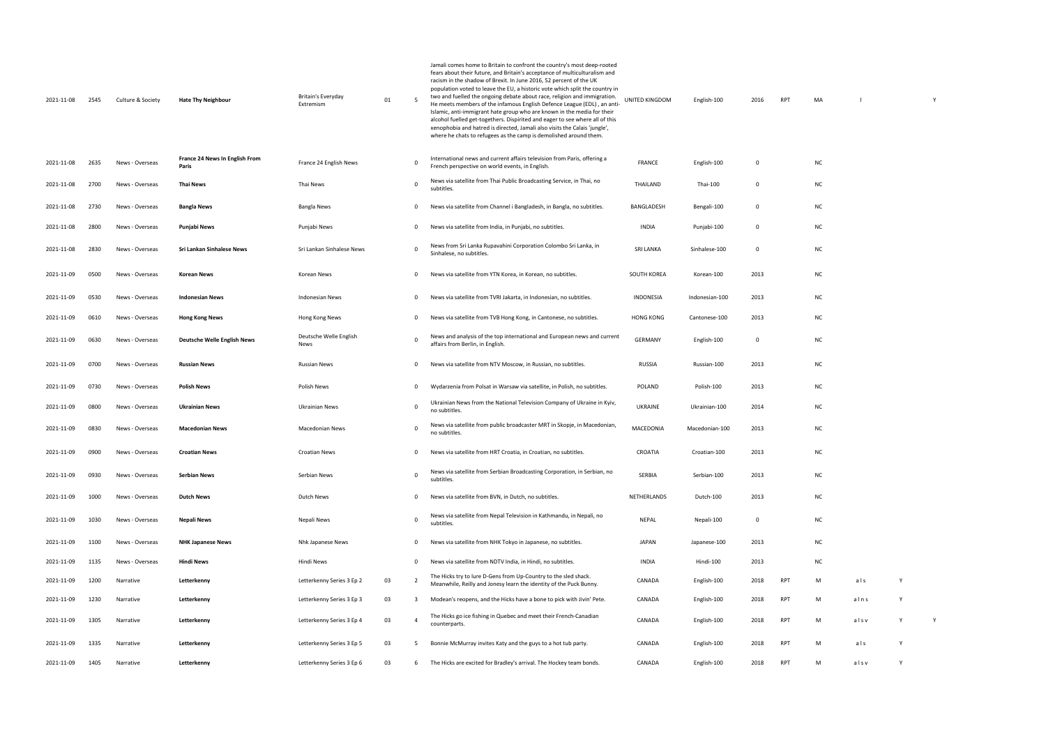| 2021-11-08 | 2545 | Culture & Society | <b>Hate Thy Neighbour</b>               | Britain's Everyday<br>Extremism | 01 | -5             | Jamali comes home to Britain to confront the country's most deep-rooted<br>fears about their future, and Britain's acceptance of multiculturalism and<br>racism in the shadow of Brexit. In June 2016, 52 percent of the UK<br>population voted to leave the EU, a historic vote which split the country in<br>two and fuelled the ongoing debate about race, religion and immigration.<br>He meets members of the infamous English Defence League (EDL), an anti-<br>Islamic, anti-immigrant hate group who are known in the media for their<br>alcohol fuelled get-togethers. Dispirited and eager to see where all of this<br>xenophobia and hatred is directed, Jamali also visits the Calais 'jungle',<br>where he chats to refugees as the camp is demolished around them. | UNITED KINGDOM     | English-100    | 2016        | RPT        | MA        |      |   | Y |
|------------|------|-------------------|-----------------------------------------|---------------------------------|----|----------------|----------------------------------------------------------------------------------------------------------------------------------------------------------------------------------------------------------------------------------------------------------------------------------------------------------------------------------------------------------------------------------------------------------------------------------------------------------------------------------------------------------------------------------------------------------------------------------------------------------------------------------------------------------------------------------------------------------------------------------------------------------------------------------|--------------------|----------------|-------------|------------|-----------|------|---|---|
| 2021-11-08 | 2635 | News - Overseas   | France 24 News In English From<br>Paris | France 24 English News          |    | 0              | International news and current affairs television from Paris, offering a<br>French perspective on world events, in English.                                                                                                                                                                                                                                                                                                                                                                                                                                                                                                                                                                                                                                                      | <b>FRANCE</b>      | English-100    | $\mathbf 0$ |            | <b>NC</b> |      |   |   |
| 2021-11-08 | 2700 | News - Overseas   | Thai News                               | Thai News                       |    | 0              | News via satellite from Thai Public Broadcasting Service, in Thai, no<br>subtitles.                                                                                                                                                                                                                                                                                                                                                                                                                                                                                                                                                                                                                                                                                              | THAILAND           | Thai-100       | 0           |            | <b>NC</b> |      |   |   |
| 2021-11-08 | 2730 | News - Overseas   | <b>Bangla News</b>                      | Bangla News                     |    | 0              | News via satellite from Channel i Bangladesh, in Bangla, no subtitles.                                                                                                                                                                                                                                                                                                                                                                                                                                                                                                                                                                                                                                                                                                           | BANGLADESH         | Bengali-100    | $\mathbf 0$ |            | <b>NC</b> |      |   |   |
| 2021-11-08 | 2800 | News - Overseas   | Punjabi News                            | Punjabi News                    |    | 0              | News via satellite from India, in Punjabi, no subtitles.                                                                                                                                                                                                                                                                                                                                                                                                                                                                                                                                                                                                                                                                                                                         | INDIA              | Punjabi-100    | 0           |            | NC        |      |   |   |
| 2021-11-08 | 2830 | News - Overseas   | Sri Lankan Sinhalese News               | Sri Lankan Sinhalese News       |    | 0              | News from Sri Lanka Rupavahini Corporation Colombo Sri Lanka, in<br>Sinhalese, no subtitles.                                                                                                                                                                                                                                                                                                                                                                                                                                                                                                                                                                                                                                                                                     | <b>SRI LANKA</b>   | Sinhalese-100  | 0           |            | <b>NC</b> |      |   |   |
| 2021-11-09 | 0500 | News - Overseas   | <b>Korean News</b>                      | Korean News                     |    | 0              | News via satellite from YTN Korea, in Korean, no subtitles.                                                                                                                                                                                                                                                                                                                                                                                                                                                                                                                                                                                                                                                                                                                      | <b>SOUTH KOREA</b> | Korean-100     | 2013        |            | NC        |      |   |   |
| 2021-11-09 | 0530 | News - Overseas   | <b>Indonesian News</b>                  | Indonesian News                 |    | 0              | News via satellite from TVRI Jakarta, in Indonesian, no subtitles.                                                                                                                                                                                                                                                                                                                                                                                                                                                                                                                                                                                                                                                                                                               | INDONESIA          | Indonesian-100 | 2013        |            | NC        |      |   |   |
| 2021-11-09 | 0610 | News - Overseas   | <b>Hong Kong News</b>                   | Hong Kong News                  |    | 0              | News via satellite from TVB Hong Kong, in Cantonese, no subtitles.                                                                                                                                                                                                                                                                                                                                                                                                                                                                                                                                                                                                                                                                                                               | <b>HONG KONG</b>   | Cantonese-100  | 2013        |            | <b>NC</b> |      |   |   |
| 2021-11-09 | 0630 | News - Overseas   | <b>Deutsche Welle English News</b>      | Deutsche Welle English<br>News  |    | $\mathbf 0$    | News and analysis of the top international and European news and current<br>affairs from Berlin, in English.                                                                                                                                                                                                                                                                                                                                                                                                                                                                                                                                                                                                                                                                     | <b>GERMANY</b>     | English-100    | 0           |            | <b>NC</b> |      |   |   |
| 2021-11-09 | 0700 | News - Overseas   | <b>Russian News</b>                     | <b>Russian News</b>             |    | 0              | News via satellite from NTV Moscow, in Russian, no subtitles.                                                                                                                                                                                                                                                                                                                                                                                                                                                                                                                                                                                                                                                                                                                    | <b>RUSSIA</b>      | Russian-100    | 2013        |            | <b>NC</b> |      |   |   |
| 2021-11-09 | 0730 | News - Overseas   | <b>Polish News</b>                      | Polish News                     |    | 0              | Wydarzenia from Polsat in Warsaw via satellite, in Polish, no subtitles.                                                                                                                                                                                                                                                                                                                                                                                                                                                                                                                                                                                                                                                                                                         | POLAND             | Polish-100     | 2013        |            | NC        |      |   |   |
| 2021-11-09 | 0800 | News - Overseas   | <b>Ukrainian News</b>                   | Ukrainian News                  |    | $\mathbf 0$    | Ukrainian News from the National Television Company of Ukraine in Kyiv,<br>no subtitles.                                                                                                                                                                                                                                                                                                                                                                                                                                                                                                                                                                                                                                                                                         | UKRAINE            | Ukrainian-100  | 2014        |            | <b>NC</b> |      |   |   |
| 2021-11-09 | 0830 | News - Overseas   | <b>Macedonian News</b>                  | <b>Macedonian News</b>          |    | 0              | News via satellite from public broadcaster MRT in Skopje, in Macedonian,<br>no subtitles.                                                                                                                                                                                                                                                                                                                                                                                                                                                                                                                                                                                                                                                                                        | MACEDONIA          | Macedonian-100 | 2013        |            | <b>NC</b> |      |   |   |
| 2021-11-09 | 0900 | News - Overseas   | Croatian News                           | Croatian News                   |    | 0              | News via satellite from HRT Croatia, in Croatian, no subtitles.                                                                                                                                                                                                                                                                                                                                                                                                                                                                                                                                                                                                                                                                                                                  | CROATIA            | Croatian-100   | 2013        |            | <b>NC</b> |      |   |   |
| 2021-11-09 | 0930 | News - Overseas   | <b>Serbian News</b>                     | Serbian News                    |    | $\mathbf 0$    | News via satellite from Serbian Broadcasting Corporation, in Serbian, no<br>subtitles.                                                                                                                                                                                                                                                                                                                                                                                                                                                                                                                                                                                                                                                                                           | SERBIA             | Serbian-100    | 2013        |            | <b>NC</b> |      |   |   |
| 2021-11-09 | 1000 | News - Overseas   | <b>Dutch News</b>                       | Dutch News                      |    | 0              | News via satellite from BVN, in Dutch, no subtitles.                                                                                                                                                                                                                                                                                                                                                                                                                                                                                                                                                                                                                                                                                                                             | NETHERLANDS        | Dutch-100      | 2013        |            | NC        |      |   |   |
| 2021-11-09 | 1030 | News - Overseas   | Nepali News                             | Nepali News                     |    | 0              | News via satellite from Nepal Television in Kathmandu, in Nepali, no<br>subtitles.                                                                                                                                                                                                                                                                                                                                                                                                                                                                                                                                                                                                                                                                                               | NEPAL              | Nepali-100     | 0           |            | NC        |      |   |   |
| 2021-11-09 | 1100 | News - Overseas   | <b>NHK Japanese News</b>                | Nhk Japanese News               |    | 0              | News via satellite from NHK Tokyo in Japanese, no subtitles.                                                                                                                                                                                                                                                                                                                                                                                                                                                                                                                                                                                                                                                                                                                     | <b>JAPAN</b>       | Japanese-100   | 2013        |            | <b>NC</b> |      |   |   |
| 2021-11-09 | 1135 | News - Overseas   | Hindi News                              | Hindi News                      |    | 0              | News via satellite from NDTV India, in Hindi, no subtitles.                                                                                                                                                                                                                                                                                                                                                                                                                                                                                                                                                                                                                                                                                                                      | INDIA              | Hindi-100      | 2013        |            | <b>NC</b> |      |   |   |
| 2021-11-09 | 1200 | Narrative         | Letterkenny                             | Letterkenny Series 3 Ep 2       | 03 | $\overline{2}$ | The Hicks try to lure D-Gens from Up-Country to the sled shack.<br>Meanwhile, Reilly and Jonesy learn the identity of the Puck Bunny.                                                                                                                                                                                                                                                                                                                                                                                                                                                                                                                                                                                                                                            | CANADA             | English-100    | 2018        | RPT        | M         | als  | Y |   |
| 2021-11-09 | 1230 | Narrative         | Letterkenny                             | Letterkenny Series 3 Ep 3       | 03 | 3              | Modean's reopens, and the Hicks have a bone to pick with Jivin' Pete.                                                                                                                                                                                                                                                                                                                                                                                                                                                                                                                                                                                                                                                                                                            | CANADA             | English-100    | 2018        | <b>RPT</b> | M         | alns | Y |   |
| 2021-11-09 | 1305 | Narrative         | Letterkenny                             | Letterkenny Series 3 Ep 4       | 03 | $\overline{4}$ | The Hicks go ice fishing in Quebec and meet their French-Canadian<br>counterparts.                                                                                                                                                                                                                                                                                                                                                                                                                                                                                                                                                                                                                                                                                               | CANADA             | English-100    | 2018        | <b>RPT</b> | M         | alsv | Y | Y |
| 2021-11-09 | 1335 | Narrative         | Letterkenny                             | Letterkenny Series 3 Ep 5       | 03 | 5              | Bonnie McMurray invites Katy and the guys to a hot tub party.                                                                                                                                                                                                                                                                                                                                                                                                                                                                                                                                                                                                                                                                                                                    | CANADA             | English-100    | 2018        | RPT        | M         | als  | Y |   |
| 2021-11-09 | 1405 | Narrative         | Letterkenny                             | Letterkenny Series 3 Ep 6       | 03 | 6              | The Hicks are excited for Bradley's arrival. The Hockey team bonds.                                                                                                                                                                                                                                                                                                                                                                                                                                                                                                                                                                                                                                                                                                              | CANADA             | English-100    | 2018        | RPT        | M         | alsv | Y |   |

| MA           | $\mathbf{I}$     |              | Υ           |  |
|--------------|------------------|--------------|-------------|--|
|              |                  |              |             |  |
|              |                  |              |             |  |
| NC           |                  |              |             |  |
| NC           |                  |              |             |  |
| NC           |                  |              |             |  |
| NC           |                  |              |             |  |
| NC           |                  |              |             |  |
| NC           |                  |              |             |  |
| NC           |                  |              |             |  |
| NC           |                  |              |             |  |
| NC           |                  |              |             |  |
| NC           |                  |              |             |  |
| NC           |                  |              |             |  |
| NC           |                  |              |             |  |
| NC           |                  |              |             |  |
| <b>NC</b>    |                  |              |             |  |
| NC           |                  |              |             |  |
| NC           |                  |              |             |  |
| $NC$         |                  |              |             |  |
| NC           |                  |              |             |  |
| NC           |                  |              |             |  |
| $\mathsf{M}$ | als              | $\mathsf{Y}$ |             |  |
| M            | alns             | $\mathsf Y$  |             |  |
| ${\sf M}$    | alsv             | $\mathsf Y$  | $\mathsf Y$ |  |
| М            | a <sub>l</sub> s | Y            |             |  |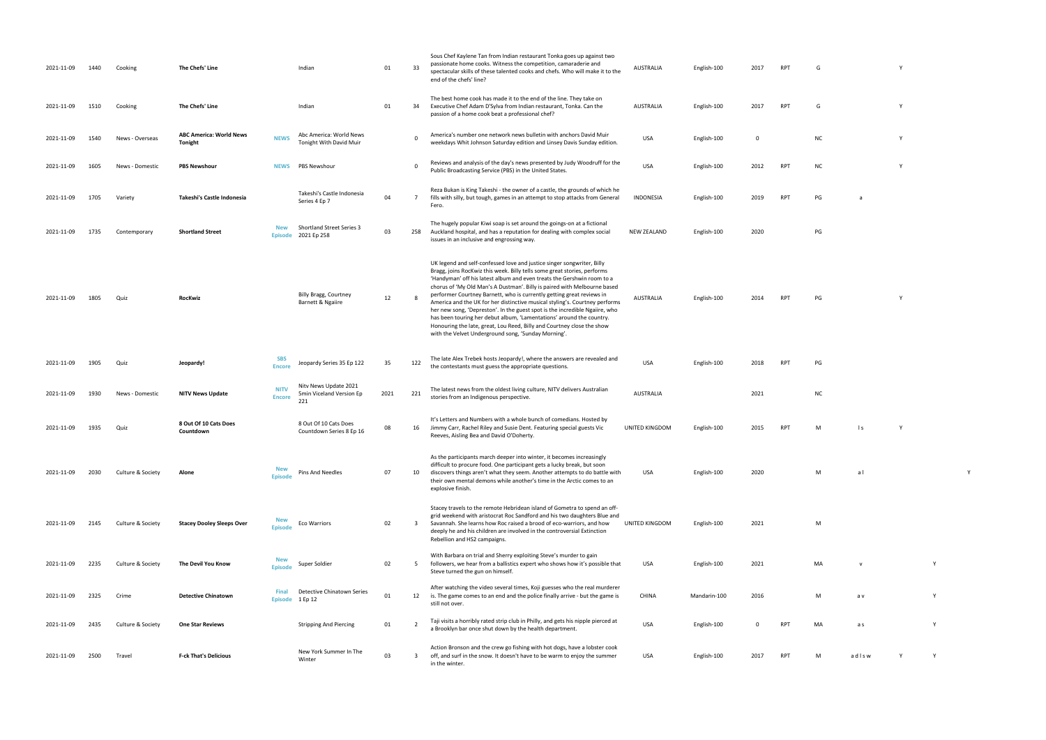- AUSTRALIA English-100 2017 RPT G Y
- RPT G Y
- white Johnson Saturday edition and Linsey Davis Sunday edition and Linsey Davis Sunday edition. USA English-100 O NC Young Sunday edition and Linsey Davis Sunday edition. USA English-100 O NC Young Sunday edition. USA Engl
- PUBLIC BROADCASTING STATES. USA ENGLISH-100 2012 RPT NC Y
- **INDONESIA ENGLish-100 2019 PG** and a
- $PG$ 
	-
- RPT PG Y
	-
- the contestants must guess the appropriate  $P$ G
- $NC$ 
	-
- RPT M ls Y
	- USA English-100 2020 M a l Y
	-
	-
	- USA English-100 2021 MA v Y
	- Mandarin-100 2016 Mandale Mandale Mandale Mandale Mandale Mandale Mandale Mandale Mandale Mandale Mandale Mand<br>Tanàna mandritry ny taona 2016 Mandale Mandale Mandale Mandale Mandale Mandale Mandale Mandale Mandale Mandale
	- a Brooklyn barn by the health department. USA English-100 Property of Property Separatment. USA English-100 Pr<br>The health department. USA English-100 Property Separatment. USA English-100 Property Separatment. USA English
	- PT M ad l s w Y Y Y
- 
- 
- 
- 
- 
- 
- 
- -
- 
- 
- 
- 

| 2021-11-09 | 1440 | Cooking           | The Chefs' Line                           |                                | Indian                                                   | 01   | 33       | Sous Chef Kaylene Tan from Indian restaurant Tonka goes up against two<br>passionate home cooks. Witness the competition, camaraderie and<br>spectacular skills of these talented cooks and chefs. Who will make it to the<br>end of the chefs' line?                                                                                                                                                                                                                                                                                                                                                                                                                                                                                                    | <b>AUSTRALIA</b>   | English-100  | 2017     | <b>RPT</b> | G  |
|------------|------|-------------------|-------------------------------------------|--------------------------------|----------------------------------------------------------|------|----------|----------------------------------------------------------------------------------------------------------------------------------------------------------------------------------------------------------------------------------------------------------------------------------------------------------------------------------------------------------------------------------------------------------------------------------------------------------------------------------------------------------------------------------------------------------------------------------------------------------------------------------------------------------------------------------------------------------------------------------------------------------|--------------------|--------------|----------|------------|----|
| 2021-11-09 | 1510 | Cooking           | The Chefs' Line                           |                                | Indian                                                   | 01   | 34       | The best home cook has made it to the end of the line. They take on<br>Executive Chef Adam D'Sylva from Indian restaurant, Tonka. Can the<br>passion of a home cook beat a professional chef?                                                                                                                                                                                                                                                                                                                                                                                                                                                                                                                                                            | <b>AUSTRALIA</b>   | English-100  | 2017     | <b>RPT</b> | G  |
| 2021-11-09 | 1540 | News - Overseas   | <b>ABC America: World News</b><br>Tonight | <b>NEWS</b>                    | Abc America: World News<br>Tonight With David Muir       |      | 0        | America's number one network news bulletin with anchors David Muir<br>weekdays Whit Johnson Saturday edition and Linsey Davis Sunday edition.                                                                                                                                                                                                                                                                                                                                                                                                                                                                                                                                                                                                            | <b>USA</b>         | English-100  | 0        |            |    |
| 2021-11-09 | 1605 | News - Domestic   | <b>PBS Newshour</b>                       | <b>NEWS</b>                    | PBS Newshour                                             |      | $\Omega$ | Reviews and analysis of the day's news presented by Judy Woodruff for the<br>Public Broadcasting Service (PBS) in the United States.                                                                                                                                                                                                                                                                                                                                                                                                                                                                                                                                                                                                                     | <b>USA</b>         | English-100  | 2012     | RPT        | N0 |
| 2021-11-09 | 1705 | Variety           | Takeshi's Castle Indonesia                |                                | Takeshi's Castle Indonesia<br>Series 4 Ep 7              | 04   | 7        | Reza Bukan is King Takeshi - the owner of a castle, the grounds of which he<br>fills with silly, but tough, games in an attempt to stop attacks from General<br>Fero.                                                                                                                                                                                                                                                                                                                                                                                                                                                                                                                                                                                    | <b>INDONESIA</b>   | English-100  | 2019     | RPT        | PG |
| 2021-11-09 | 1735 | Contemporary      | <b>Shortland Street</b>                   | <b>New</b><br><b>Episode</b>   | <b>Shortland Street Series 3</b><br>2021 Ep 258          | 03   | 258      | The hugely popular Kiwi soap is set around the goings-on at a fictional<br>Auckland hospital, and has a reputation for dealing with complex social<br>issues in an inclusive and engrossing way.                                                                                                                                                                                                                                                                                                                                                                                                                                                                                                                                                         | <b>NEW ZEALAND</b> | English-100  | 2020     |            |    |
| 2021-11-09 | 1805 | Quiz              | RocKwiz                                   |                                | Billy Bragg, Courtney<br>Barnett & Ngaiire               | 12   | 8        | UK legend and self-confessed love and justice singer songwriter, Billy<br>Bragg, joins RocKwiz this week. Billy tells some great stories, performs<br>'Handyman' off his latest album and even treats the Gershwin room to a<br>chorus of 'My Old Man's A Dustman'. Billy is paired with Melbourne based<br>performer Courtney Barnett, who is currently getting great reviews in<br>America and the UK for her distinctive musical styling's. Courtney performs<br>her new song, 'Depreston'. In the guest spot is the incredible Ngaiire, who<br>has been touring her debut album, 'Lamentations' around the country.<br>Honouring the late, great, Lou Reed, Billy and Courtney close the show<br>with the Velvet Underground song, 'Sunday Morning'. | <b>AUSTRALIA</b>   | English-100  | 2014     | RPT        | РG |
| 2021-11-09 | 1905 | Quiz              | Jeopardy!                                 | <b>SBS</b><br><b>Encore</b>    | Jeopardy Series 35 Ep 122                                | 35   | 122      | The late Alex Trebek hosts Jeopardy!, where the answers are revealed and<br>the contestants must guess the appropriate questions.                                                                                                                                                                                                                                                                                                                                                                                                                                                                                                                                                                                                                        | <b>USA</b>         | English-100  | 2018     | <b>RPT</b> | PG |
| 2021-11-09 | 1930 | News - Domestic   | <b>NITV News Update</b>                   | <b>NITV</b><br><b>Encore</b>   | Nity News Update 2021<br>5min Viceland Version Ep<br>221 | 2021 | 221      | The latest news from the oldest living culture, NITV delivers Australian<br>stories from an Indigenous perspective.                                                                                                                                                                                                                                                                                                                                                                                                                                                                                                                                                                                                                                      | <b>AUSTRALIA</b>   |              | 2021     |            |    |
| 2021-11-09 | 1935 | Quiz              | 8 Out Of 10 Cats Does<br>Countdown        |                                | 8 Out Of 10 Cats Does<br>Countdown Series 8 Ep 16        | 08   | 16       | It's Letters and Numbers with a whole bunch of comedians. Hosted by<br>Jimmy Carr, Rachel Riley and Susie Dent. Featuring special guests Vic<br>Reeves, Aisling Bea and David O'Doherty.                                                                                                                                                                                                                                                                                                                                                                                                                                                                                                                                                                 | UNITED KINGDOM     | English-100  | 2015     | RPT        |    |
| 2021-11-09 | 2030 | Culture & Society | Alone                                     | <b>New</b><br><b>Episode</b>   | Pins And Needles                                         | 07   | 10       | As the participants march deeper into winter, it becomes increasingly<br>difficult to procure food. One participant gets a lucky break, but soon<br>discovers things aren't what they seem. Another attempts to do battle with<br>their own mental demons while another's time in the Arctic comes to an<br>explosive finish.                                                                                                                                                                                                                                                                                                                                                                                                                            | <b>USA</b>         | English-100  | 2020     |            |    |
| 2021-11-09 | 2145 | Culture & Society | <b>Stacey Dooley Sleeps Over</b>          | <b>New</b><br>Episode          | <b>Eco Warriors</b>                                      | 02   | 3        | Stacey travels to the remote Hebridean island of Gometra to spend an off-<br>grid weekend with aristocrat Roc Sandford and his two daughters Blue and<br>Savannah. She learns how Roc raised a brood of eco-warriors, and how<br>deeply he and his children are involved in the controversial Extinction<br>Rebellion and HS2 campaigns.                                                                                                                                                                                                                                                                                                                                                                                                                 | UNITED KINGDOM     | English-100  | 2021     |            |    |
| 2021-11-09 | 2235 | Culture & Society | The Devil You Know                        | <b>New</b><br>Episode          | Super Soldier                                            | 02   | 5        | With Barbara on trial and Sherry exploiting Steve's murder to gain<br>followers, we hear from a ballistics expert who shows how it's possible that<br>Steve turned the gun on himself.                                                                                                                                                                                                                                                                                                                                                                                                                                                                                                                                                                   | USA                | English-100  | 2021     |            | M, |
| 2021-11-09 | 2325 | Crime             | <b>Detective Chinatown</b>                | <b>Final</b><br><b>Episode</b> | Detective Chinatown Series<br>1 Ep 12                    | 01   | 12       | After watching the video several times, Koji guesses who the real murderer<br>is. The game comes to an end and the police finally arrive - but the game is<br>still not over.                                                                                                                                                                                                                                                                                                                                                                                                                                                                                                                                                                            | <b>CHINA</b>       | Mandarin-100 | 2016     |            |    |
| 2021-11-09 | 2435 | Culture & Society | <b>One Star Reviews</b>                   |                                | <b>Stripping And Piercing</b>                            | 01   | 2        | Taji visits a horribly rated strip club in Philly, and gets his nipple pierced at<br>a Brooklyn bar once shut down by the health department.                                                                                                                                                                                                                                                                                                                                                                                                                                                                                                                                                                                                             | <b>USA</b>         | English-100  | $\Omega$ | <b>RPT</b> |    |
| 2021-11-09 | 2500 | Travel            | <b>F-ck That's Delicious</b>              |                                | New York Summer In The<br>Winter                         | 03   | 3        | Action Bronson and the crew go fishing with hot dogs, have a lobster cook<br>off, and surf in the snow. It doesn't have to be warm to enjoy the summer<br>in the winter.                                                                                                                                                                                                                                                                                                                                                                                                                                                                                                                                                                                 | USA                | English-100  | 2017     | <b>RPT</b> |    |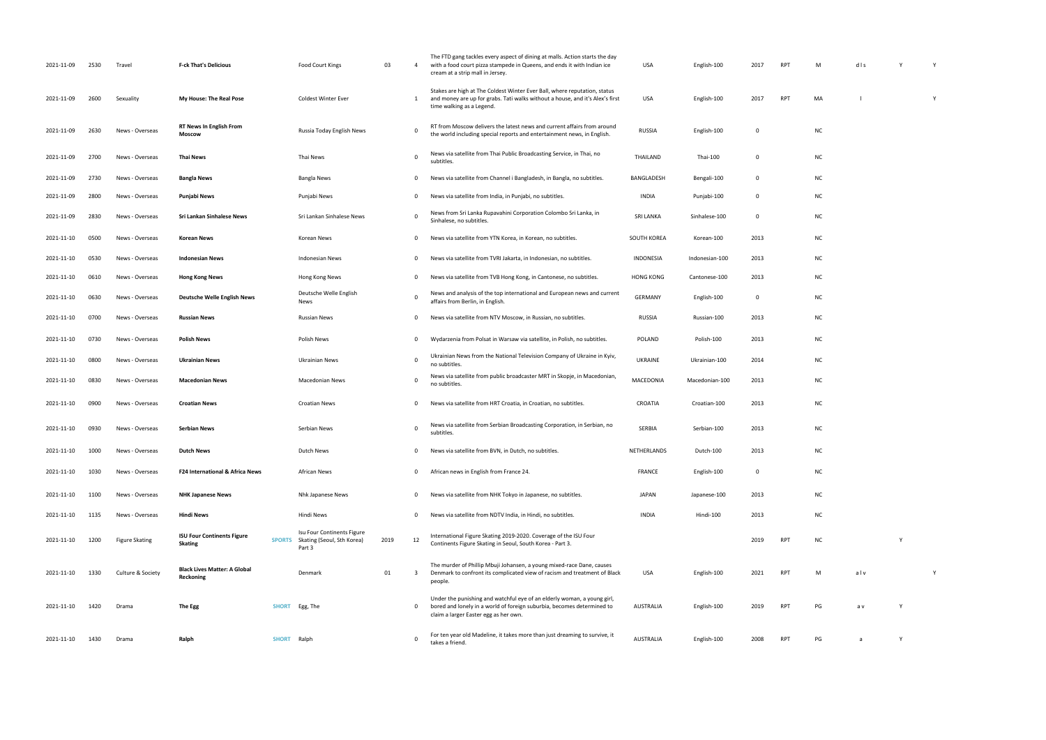| 2021-11-09 | 2530 | Travel                | <b>F-ck That's Delicious</b>                     |               | Food Court Kings                                                   | 03   | 4            | The FTD gang tackles every aspect of dining at malls. Action starts the day<br>with a food court pizza stampede in Queens, and ends it with Indian ice<br>cream at a strip mall in Jersey. | <b>USA</b>       | English-100    | 2017        | RPT        | M         | $d$   s |
|------------|------|-----------------------|--------------------------------------------------|---------------|--------------------------------------------------------------------|------|--------------|--------------------------------------------------------------------------------------------------------------------------------------------------------------------------------------------|------------------|----------------|-------------|------------|-----------|---------|
| 2021-11-09 | 2600 | Sexuality             | My House: The Real Pose                          |               | <b>Coldest Winter Ever</b>                                         |      | 1            | Stakes are high at The Coldest Winter Ever Ball, where reputation, status<br>and money are up for grabs. Tati walks without a house, and it's Alex's first<br>time walking as a Legend.    | USA              | English-100    | 2017        | RPT        | MA        |         |
| 2021-11-09 | 2630 | News - Overseas       | <b>RT News In English From</b><br>Moscow         |               | Russia Today English News                                          |      | 0            | RT from Moscow delivers the latest news and current affairs from around<br>the world including special reports and entertainment news, in English.                                         | <b>RUSSIA</b>    | English-100    | $\mathbf 0$ |            | <b>NC</b> |         |
| 2021-11-09 | 2700 | News - Overseas       | Thai News                                        |               | Thai News                                                          |      | $\mathbf 0$  | News via satellite from Thai Public Broadcasting Service, in Thai, no<br>subtitles.                                                                                                        | THAILAND         | Thai-100       | 0           |            | <b>NC</b> |         |
| 2021-11-09 | 2730 | News - Overseas       | <b>Bangla News</b>                               |               | Bangla News                                                        |      | 0            | News via satellite from Channel i Bangladesh, in Bangla, no subtitles.                                                                                                                     | BANGLADESH       | Bengali-100    | $\mathbf 0$ |            | <b>NC</b> |         |
| 2021-11-09 | 2800 | News - Overseas       | Punjabi News                                     |               | Punjabi News                                                       |      | $\mathbf 0$  | News via satellite from India, in Punjabi, no subtitles.                                                                                                                                   | INDIA            | Punjabi-100    | 0           |            | <b>NC</b> |         |
| 2021-11-09 | 2830 | News - Overseas       | Sri Lankan Sinhalese News                        |               | Sri Lankan Sinhalese News                                          |      | 0            | News from Sri Lanka Rupavahini Corporation Colombo Sri Lanka, in<br>Sinhalese, no subtitles.                                                                                               | SRI LANKA        | Sinhalese-100  | $\mathbf 0$ |            | <b>NC</b> |         |
| 2021-11-10 | 0500 | News - Overseas       | Korean News                                      |               | Korean News                                                        |      | 0            | News via satellite from YTN Korea, in Korean, no subtitles.                                                                                                                                | SOUTH KOREA      | Korean-100     | 2013        |            | <b>NC</b> |         |
| 2021-11-10 | 0530 | News - Overseas       | <b>Indonesian News</b>                           |               | <b>Indonesian News</b>                                             |      | $\mathbf 0$  | News via satellite from TVRI Jakarta, in Indonesian, no subtitles.                                                                                                                         | <b>INDONESIA</b> | Indonesian-100 | 2013        |            | <b>NC</b> |         |
| 2021-11-10 | 0610 | News - Overseas       | <b>Hong Kong News</b>                            |               | Hong Kong News                                                     |      | 0            | News via satellite from TVB Hong Kong, in Cantonese, no subtitles.                                                                                                                         | <b>HONG KONG</b> | Cantonese-100  | 2013        |            | <b>NC</b> |         |
| 2021-11-10 | 0630 | News - Overseas       | <b>Deutsche Welle English News</b>               |               | Deutsche Welle English<br>News                                     |      | $\mathbf 0$  | News and analysis of the top international and European news and current<br>affairs from Berlin, in English.                                                                               | <b>GERMANY</b>   | English-100    | $\mathbf 0$ |            | <b>NC</b> |         |
| 2021-11-10 | 0700 | News - Overseas       | <b>Russian News</b>                              |               | <b>Russian News</b>                                                |      | 0            | News via satellite from NTV Moscow, in Russian, no subtitles.                                                                                                                              | <b>RUSSIA</b>    | Russian-100    | 2013        |            | <b>NC</b> |         |
| 2021-11-10 | 0730 | News - Overseas       | <b>Polish News</b>                               |               | Polish News                                                        |      | 0            | Wydarzenia from Polsat in Warsaw via satellite, in Polish, no subtitles.                                                                                                                   | POLAND           | Polish-100     | 2013        |            | <b>NC</b> |         |
| 2021-11-10 | 0800 | News - Overseas       | Ukrainian News                                   |               | Ukrainian News                                                     |      | $\mathsf{o}$ | Ukrainian News from the National Television Company of Ukraine in Kyiv,<br>no subtitles.                                                                                                   | UKRAINE          | Ukrainian-100  | 2014        |            | <b>NC</b> |         |
| 2021-11-10 | 0830 | News - Overseas       | <b>Macedonian News</b>                           |               | Macedonian News                                                    |      | $\mathbf 0$  | News via satellite from public broadcaster MRT in Skopje, in Macedonian,<br>no subtitles.                                                                                                  | MACEDONIA        | Macedonian-100 | 2013        |            | <b>NC</b> |         |
| 2021-11-10 | 0900 | News - Overseas       | <b>Croatian News</b>                             |               | <b>Croatian News</b>                                               |      | $\mathbf 0$  | News via satellite from HRT Croatia, in Croatian, no subtitles.                                                                                                                            | CROATIA          | Croatian-100   | 2013        |            | <b>NC</b> |         |
| 2021-11-10 | 0930 | News - Overseas       | Serbian News                                     |               | Serbian News                                                       |      | $\mathsf{o}$ | News via satellite from Serbian Broadcasting Corporation, in Serbian, no<br>subtitles.                                                                                                     | <b>SERBIA</b>    | Serbian-100    | 2013        |            | <b>NC</b> |         |
| 2021-11-10 | 1000 | News - Overseas       | Dutch News                                       |               | Dutch News                                                         |      | 0            | News via satellite from BVN, in Dutch, no subtitles.                                                                                                                                       | NETHERLANDS      | Dutch-100      | 2013        |            | <b>NC</b> |         |
| 2021-11-10 | 1030 | News - Overseas       | F24 International & Africa News                  |               | <b>African News</b>                                                |      | $\mathbf 0$  | African news in English from France 24.                                                                                                                                                    | FRANCE           | English-100    | $\mathbf 0$ |            | <b>NC</b> |         |
| 2021-11-10 | 1100 | News - Overseas       | <b>NHK Japanese News</b>                         |               | Nhk Japanese News                                                  |      | 0            | News via satellite from NHK Tokyo in Japanese, no subtitles.                                                                                                                               | <b>JAPAN</b>     | Japanese-100   | 2013        |            | <b>NC</b> |         |
| 2021-11-10 | 1135 | News - Overseas       | <b>Hindi News</b>                                |               | Hindi News                                                         |      | 0            | News via satellite from NDTV India, in Hindi, no subtitles.                                                                                                                                | INDIA            | Hindi-100      | 2013        |            | <b>NC</b> |         |
| 2021-11-10 | 1200 | <b>Figure Skating</b> | <b>ISU Four Continents Figure</b><br>Skating     | <b>SPORTS</b> | Isu Four Continents Figure<br>Skating (Seoul, Sth Korea)<br>Part 3 | 2019 | 12           | International Figure Skating 2019-2020. Coverage of the ISU Four<br>Continents Figure Skating in Seoul, South Korea - Part 3.                                                              |                  |                | 2019        | RPT        | <b>NC</b> |         |
| 2021-11-10 | 1330 | Culture & Society     | <b>Black Lives Matter: A Global</b><br>Reckoning |               | Denmark                                                            | 01   | 3            | The murder of Phillip Mbuji Johansen, a young mixed-race Dane, causes<br>Denmark to confront its complicated view of racism and treatment of Black<br>people.                              | USA              | English-100    | 2021        | RPT        | M         | alv     |
| 2021-11-10 | 1420 | Drama                 | The Egg                                          | <b>SHORT</b>  | Egg, The                                                           |      | 0            | Under the punishing and watchful eye of an elderly woman, a young girl,<br>bored and lonely in a world of foreign suburbia, becomes determined to<br>claim a larger Easter egg as her own. | AUSTRALIA        | English-100    | 2019        | <b>RPT</b> | PG        | a v     |
| 2021-11-10 | 1430 | Drama                 | Ralph                                            | SHORT Ralph   |                                                                    |      | 0            | For ten year old Madeline, it takes more than just dreaming to survive, it<br>takes a friend.                                                                                              | AUSTRALIA        | English-100    | 2008        | RPT        | PG        | a       |

| M         | dls         | Y | Y           |  |
|-----------|-------------|---|-------------|--|
| MA        | $\mathbf I$ |   | Y           |  |
| NC        |             |   |             |  |
|           |             |   |             |  |
| NC        |             |   |             |  |
| NC        |             |   |             |  |
| NC        |             |   |             |  |
| NC        |             |   |             |  |
| NC        |             |   |             |  |
| NC        |             |   |             |  |
| NC        |             |   |             |  |
| NC        |             |   |             |  |
| NC        |             |   |             |  |
| NC        |             |   |             |  |
| NC        |             |   |             |  |
| NC        |             |   |             |  |
| NC        |             |   |             |  |
| NC        |             |   |             |  |
| <b>NC</b> |             |   |             |  |
| NC        |             |   |             |  |
| NC        |             |   |             |  |
| NC        |             |   |             |  |
| NC        |             | Y |             |  |
| M         | $al$ v      |   | $\mathsf Y$ |  |
| PG        | a v         | Y |             |  |
| PG        | a           | Y |             |  |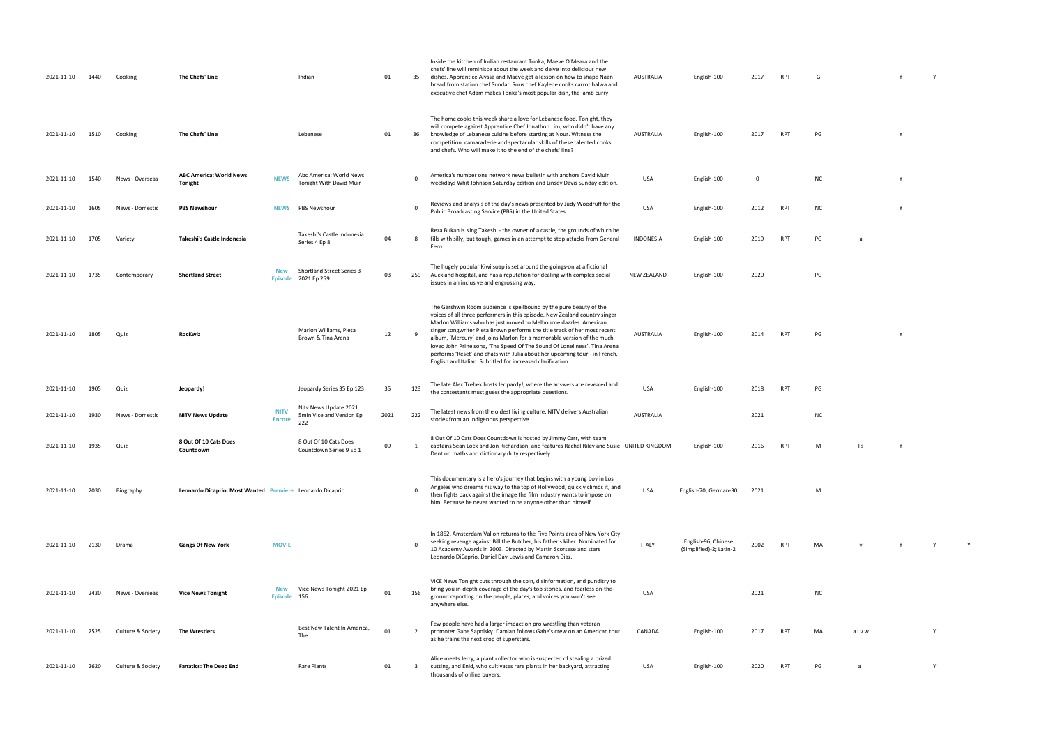| 2021-11-10 | 1440 | Cooking           | The Chefs' Line                                           |                              | Indian                                                   | 01   | 35             | Inside the kitchen of Indian restaurant Tonka, Maeve O'Meara and the<br>chefs' line will reminisce about the week and delve into delicious new<br>dishes. Apprentice Alyssa and Maeve get a lesson on how to shape Naan<br>bread from station chef Sundar. Sous chef Kaylene cooks carrot halwa and<br>executive chef Adam makes Tonka's most popular dish, the lamb curry.                                                                                                                                                                                                                           | AUSTRALIA          | English-100                                    | 2017 | <b>RPT</b> | G         |              |  |
|------------|------|-------------------|-----------------------------------------------------------|------------------------------|----------------------------------------------------------|------|----------------|-------------------------------------------------------------------------------------------------------------------------------------------------------------------------------------------------------------------------------------------------------------------------------------------------------------------------------------------------------------------------------------------------------------------------------------------------------------------------------------------------------------------------------------------------------------------------------------------------------|--------------------|------------------------------------------------|------|------------|-----------|--------------|--|
| 2021-11-10 | 1510 | Cooking           | The Chefs' Line                                           |                              | Lebanese                                                 | 01   | 36             | The home cooks this week share a love for Lebanese food. Tonight, they<br>will compete against Apprentice Chef Jonathon Lim, who didn't have any<br>knowledge of Lebanese cuisine before starting at Nour. Witness the<br>competition, camaraderie and spectacular skills of these talented cooks<br>and chefs. Who will make it to the end of the chefs' line?                                                                                                                                                                                                                                       | AUSTRALIA          | English-100                                    | 2017 | RPT        | PG        |              |  |
| 2021-11-10 | 1540 | News - Overseas   | <b>ABC America: World News</b><br>Tonight                 | <b>NEWS</b>                  | Abc America: World News<br>Tonight With David Muir       |      | $\Omega$       | America's number one network news bulletin with anchors David Muir<br>weekdays Whit Johnson Saturday edition and Linsey Davis Sunday edition.                                                                                                                                                                                                                                                                                                                                                                                                                                                         | USA                | English-100                                    | 0    |            | <b>NC</b> |              |  |
| 2021-11-10 | 1605 | News - Domestic   | <b>PBS Newshour</b>                                       | <b>NEWS</b>                  | <b>PBS Newshour</b>                                      |      | $\mathbf 0$    | Reviews and analysis of the day's news presented by Judy Woodruff for the<br>Public Broadcasting Service (PBS) in the United States.                                                                                                                                                                                                                                                                                                                                                                                                                                                                  | USA                | English-100                                    | 2012 | RPT        | <b>NC</b> |              |  |
| 2021-11-10 | 1705 | Variety           | Takeshi's Castle Indonesia                                |                              | Takeshi's Castle Indonesia<br>Series 4 Ep 8              | 04   | 8              | Reza Bukan is King Takeshi - the owner of a castle, the grounds of which he<br>fills with silly, but tough, games in an attempt to stop attacks from General<br>Fero.                                                                                                                                                                                                                                                                                                                                                                                                                                 | INDONESIA          | English-100                                    | 2019 | <b>RPT</b> | PG        | a            |  |
| 2021-11-10 | 1735 | Contemporary      | <b>Shortland Street</b>                                   | <b>New</b><br><b>Episode</b> | <b>Shortland Street Series 3</b><br>2021 Ep 259          | 03   | 259            | The hugely popular Kiwi soap is set around the goings-on at a fictional<br>Auckland hospital, and has a reputation for dealing with complex social<br>issues in an inclusive and engrossing way.                                                                                                                                                                                                                                                                                                                                                                                                      | <b>NEW ZEALAND</b> | English-100                                    | 2020 |            | PG        |              |  |
| 2021-11-10 | 1805 | Quiz              | RocKwiz                                                   |                              | Marlon Williams, Pieta<br>Brown & Tina Arena             | 12   | $\mathbf{q}$   | The Gershwin Room audience is spellbound by the pure beauty of the<br>voices of all three performers in this episode. New Zealand country singer<br>Marlon Williams who has just moved to Melbourne dazzles. American<br>singer songwriter Pieta Brown performs the title track of her most recent<br>album, 'Mercury' and joins Marlon for a memorable version of the much<br>loved John Prine song, 'The Speed Of The Sound Of Loneliness'. Tina Arena<br>performs 'Reset' and chats with Julia about her upcoming tour - in French,<br>English and Italian. Subtitled for increased clarification. | AUSTRALIA          | English-100                                    | 2014 | <b>RPT</b> | PG        |              |  |
| 2021-11-10 | 1905 | Quiz              | Jeopardy!                                                 |                              | Jeopardy Series 35 Ep 123                                | 35   | 123            | The late Alex Trebek hosts Jeopardy!, where the answers are revealed and<br>the contestants must guess the appropriate questions.                                                                                                                                                                                                                                                                                                                                                                                                                                                                     | USA                | English-100                                    | 2018 | RPT        | PG        |              |  |
| 2021-11-10 | 1930 | News - Domestic   | <b>NITV News Update</b>                                   | <b>NITV</b><br><b>Encore</b> | Nity News Update 2021<br>5min Viceland Version Ep<br>222 | 2021 | 222            | The latest news from the oldest living culture, NITV delivers Australian<br>stories from an Indigenous perspective.                                                                                                                                                                                                                                                                                                                                                                                                                                                                                   | <b>AUSTRALIA</b>   |                                                | 2021 |            | <b>NC</b> |              |  |
| 2021-11-10 | 1935 | Quiz              | 8 Out Of 10 Cats Does<br>Countdown                        |                              | 8 Out Of 10 Cats Does<br>Countdown Series 9 Ep 1         | 09   | <sup>1</sup>   | 8 Out Of 10 Cats Does Countdown is hosted by Jimmy Carr, with team<br>captains Sean Lock and Jon Richardson, and features Rachel Riley and Susie UNITED KINGDOM<br>Dent on maths and dictionary duty respectively.                                                                                                                                                                                                                                                                                                                                                                                    |                    | English-100                                    | 2016 |            | м         | $\mathsf{I}$ |  |
| 2021-11-10 | 2030 | Biography         | Leonardo Dicaprio: Most Wanted Premiere Leonardo Dicaprio |                              |                                                          |      |                | This documentary is a hero's journey that begins with a young boy in Los<br>Angeles who dreams his way to the top of Hollywood, quickly climbs it, and<br>then fights back against the image the film industry wants to impose on<br>him. Because he never wanted to be anyone other than himself.                                                                                                                                                                                                                                                                                                    | USA                | English-70; German-30                          | 2021 |            | M         |              |  |
| 2021-11-10 | 2130 | Drama             | <b>Gangs Of New York</b>                                  | <b>MOVIE</b>                 |                                                          |      | $\Omega$       | In 1862, Amsterdam Vallon returns to the Five Points area of New York City<br>seeking revenge against Bill the Butcher, his father's killer. Nominated for<br>10 Academy Awards in 2003. Directed by Martin Scorsese and stars<br>Leonardo DiCaprio, Daniel Day-Lewis and Cameron Diaz.                                                                                                                                                                                                                                                                                                               | <b>ITALY</b>       | English-96; Chinese<br>(Simplified)-2; Latin-2 | 2002 | <b>RPT</b> | MA        |              |  |
| 2021-11-10 | 2430 | News - Overseas   | <b>Vice News Tonight</b>                                  | <b>New</b><br>Episode 156    | Vice News Tonight 2021 Ep                                | 01   | 156            | VICE News Tonight cuts through the spin, disinformation, and punditry to<br>bring you in-depth coverage of the day's top stories, and fearless on-the-<br>ground reporting on the people, places, and voices you won't see<br>anywhere else.                                                                                                                                                                                                                                                                                                                                                          | <b>USA</b>         |                                                | 2021 |            | <b>NC</b> |              |  |
| 2021-11-10 | 2525 | Culture & Society | The Wrestlers                                             |                              | Best New Talent In America,<br>The                       | 01   | $\overline{2}$ | Few people have had a larger impact on pro wrestling than veteran<br>promoter Gabe Sapolsky. Damian follows Gabe's crew on an American tour<br>as he trains the next crop of superstars.                                                                                                                                                                                                                                                                                                                                                                                                              | CANADA             | English-100                                    | 2017 | RPT        | MA        | alvw         |  |
| 2021-11-10 | 2620 | Culture & Society | <b>Fanatics: The Deep End</b>                             |                              | Rare Plants                                              | 01   | -3             | Alice meets Jerry, a plant collector who is suspected of stealing a prized<br>cutting, and Enid, who cultivates rare plants in her backyard, attracting<br>thousands of online buyers.                                                                                                                                                                                                                                                                                                                                                                                                                | USA                | English-100                                    | 2020 | RPT        | PG        | a l          |  |

- AUSTRALIA ENGLISH-100 2017 RPT G Y Y Y Y
- AUSTRALIA English-100 2017 RPT PG Y
	-
	- white Johnson Saturday edition and Linsey Davis Sunday edition and Linsey Davis Sunday edition. USA English-100 O NC York 100 O NC York 100 O NC York 100 O NC York 100 O NC York 100 O NC York 100 O NC York 100 O NC York 10 Public Broadcasting States. USA English-100 2012 RPT NC Y
- INDONESIA English-100 2019 RPT PG a
	- $PG$ 
		-
		-
- the contestants must guess the appropriate questions. USA English-100 2018 RPT PG
	- $\overline{NC}$ UNITED KING AND SERVICE STATES OF A SERVICE STATES OF A SERVICE STATES OF A VEHICLE STATES OF A VEHICLE STATES
		-
		- USA English-70; German-30 2021 Million
	- (Simplified)<br>- RPT MA v Y Y Y Y
		- NC
		- RPT MA alvw Y
		- PH PG al Y
- 
- 
- 
- 
- 
- 
- 
- 
- 
- 
- 
-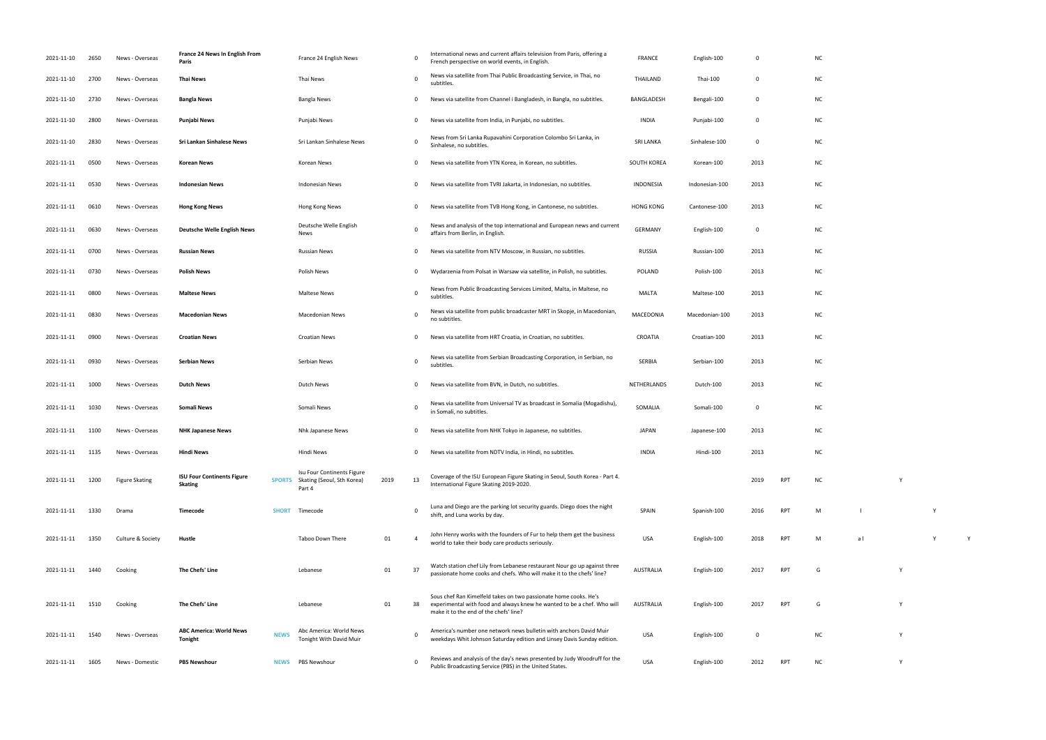International Figure Skating 2019-2020. <sup>2019</sup> RPT NC <sup>Y</sup> shift, and Luna works by day. SPAIN Spanish-100 <sup>2016</sup> RPT <sup>M</sup> l Y world to take their body care products seriously. USA English-100 <sup>2018</sup> RPT <sup>M</sup> a l Y <sup>Y</sup> passionate home cooks and chefs. Who will make it to the chefs' line? AUSTRALIA English-100 <sup>2017</sup> RPT <sup>G</sup> <sup>Y</sup> RPT G Y white Johnson Saturday edition and Linsey Davis Sunday edition and Linsey Davis Sunday edition. USA English-100 O NC York 100 NC York 100 NC York 100 NC York 100 NC York 100 NC York 100 NC York 100 NC York 100 NC York 100 PUBLIC BROADCASTING STATES. USA ENGLISH-100 2012 RPT NC Y

| 2021-11-10 | 2650 | News - Overseas       | France 24 News In English From<br>Paris             |               | France 24 English News                                             |      | $\Omega$       | International news and current affairs television from Paris, offering a<br>French perspective on world events, in English.                                                           | <b>FRANCE</b>      | English-100    | 0              |            | <b>NC</b> |
|------------|------|-----------------------|-----------------------------------------------------|---------------|--------------------------------------------------------------------|------|----------------|---------------------------------------------------------------------------------------------------------------------------------------------------------------------------------------|--------------------|----------------|----------------|------------|-----------|
| 2021-11-10 | 2700 | News - Overseas       | <b>Thai News</b>                                    |               | Thai News                                                          |      | $\Omega$       | News via satellite from Thai Public Broadcasting Service, in Thai, no<br>subtitles.                                                                                                   | THAILAND           | Thai-100       | $\mathbf 0$    |            | N0        |
| 2021-11-10 | 2730 | News - Overseas       | <b>Bangla News</b>                                  |               | <b>Bangla News</b>                                                 |      | 0              | News via satellite from Channel i Bangladesh, in Bangla, no subtitles.                                                                                                                | BANGLADESH         | Bengali-100    | 0              |            | N0        |
| 2021-11-10 | 2800 | News - Overseas       | Punjabi News                                        |               | Punjabi News                                                       |      | 0              | News via satellite from India, in Punjabi, no subtitles.                                                                                                                              | <b>INDIA</b>       | Punjabi-100    | 0              |            | <b>NC</b> |
| 2021-11-10 | 2830 | News - Overseas       | <b>Sri Lankan Sinhalese News</b>                    |               | Sri Lankan Sinhalese News                                          |      | 0              | News from Sri Lanka Rupavahini Corporation Colombo Sri Lanka, in<br>Sinhalese, no subtitles.                                                                                          | <b>SRI LANKA</b>   | Sinhalese-100  | $\overline{0}$ |            | <b>NC</b> |
| 2021-11-11 | 0500 | News - Overseas       | Korean News                                         |               | Korean News                                                        |      | 0              | News via satellite from YTN Korea, in Korean, no subtitles.                                                                                                                           | <b>SOUTH KOREA</b> | Korean-100     | 2013           |            | <b>NC</b> |
| 2021-11-11 | 0530 | News - Overseas       | <b>Indonesian News</b>                              |               | <b>Indonesian News</b>                                             |      | 0              | News via satellite from TVRI Jakarta, in Indonesian, no subtitles.                                                                                                                    | INDONESIA          | Indonesian-100 | 2013           |            | N0        |
| 2021-11-11 | 0610 | News - Overseas       | <b>Hong Kong News</b>                               |               | Hong Kong News                                                     |      | 0              | News via satellite from TVB Hong Kong, in Cantonese, no subtitles.                                                                                                                    | <b>HONG KONG</b>   | Cantonese-100  | 2013           |            | N0        |
| 2021-11-11 | 0630 | News - Overseas       | <b>Deutsche Welle English News</b>                  |               | Deutsche Welle English<br>News                                     |      | $\mathbf 0$    | News and analysis of the top international and European news and current<br>affairs from Berlin, in English.                                                                          | <b>GERMANY</b>     | English-100    | $\mathbf 0$    |            | <b>NC</b> |
| 2021-11-11 | 0700 | News - Overseas       | <b>Russian News</b>                                 |               | <b>Russian News</b>                                                |      | 0              | News via satellite from NTV Moscow, in Russian, no subtitles.                                                                                                                         | RUSSIA             | Russian-100    | 2013           |            | <b>NC</b> |
| 2021-11-11 | 0730 | News - Overseas       | <b>Polish News</b>                                  |               | Polish News                                                        |      | 0              | Wydarzenia from Polsat in Warsaw via satellite, in Polish, no subtitles.                                                                                                              | POLAND             | Polish-100     | 2013           |            | <b>NC</b> |
| 2021-11-11 | 0800 | News - Overseas       | <b>Maltese News</b>                                 |               | <b>Maltese News</b>                                                |      | $\mathbf 0$    | News from Public Broadcasting Services Limited, Malta, in Maltese, no<br>subtitles.                                                                                                   | <b>MALTA</b>       | Maltese-100    | 2013           |            | <b>NC</b> |
| 2021-11-11 | 0830 | News - Overseas       | <b>Macedonian News</b>                              |               | Macedonian News                                                    |      | 0              | News via satellite from public broadcaster MRT in Skopje, in Macedonian,<br>no subtitles.                                                                                             | MACEDONIA          | Macedonian-100 | 2013           |            | <b>NC</b> |
| 2021-11-11 | 0900 | News - Overseas       | <b>Croatian News</b>                                |               | <b>Croatian News</b>                                               |      | 0              | News via satellite from HRT Croatia, in Croatian, no subtitles.                                                                                                                       | CROATIA            | Croatian-100   | 2013           |            | N0        |
| 2021-11-11 | 0930 | News - Overseas       | <b>Serbian News</b>                                 |               | Serbian News                                                       |      | 0              | News via satellite from Serbian Broadcasting Corporation, in Serbian, no<br>subtitles.                                                                                                | SERBIA             | Serbian-100    | 2013           |            | <b>NC</b> |
| 2021-11-11 | 1000 | News - Overseas       | <b>Dutch News</b>                                   |               | Dutch News                                                         |      | 0              | News via satellite from BVN, in Dutch, no subtitles.                                                                                                                                  | NETHERLANDS        | Dutch-100      | 2013           |            | N0        |
| 2021-11-11 | 1030 | News - Overseas       | Somali News                                         |               | Somali News                                                        |      | 0              | News via satellite from Universal TV as broadcast in Somalia (Mogadishu),<br>in Somali, no subtitles.                                                                                 | SOMALIA            | Somali-100     | 0              |            | <b>NC</b> |
| 2021-11-11 | 1100 | News - Overseas       | <b>NHK Japanese News</b>                            |               | Nhk Japanese News                                                  |      | 0              | News via satellite from NHK Tokyo in Japanese, no subtitles.                                                                                                                          | <b>JAPAN</b>       | Japanese-100   | 2013           |            | <b>NC</b> |
| 2021-11-11 | 1135 | News - Overseas       | <b>Hindi News</b>                                   |               | Hindi News                                                         |      | 0              | News via satellite from NDTV India, in Hindi, no subtitles.                                                                                                                           | <b>INDIA</b>       | Hindi-100      | 2013           |            | <b>NC</b> |
| 2021-11-11 | 1200 | <b>Figure Skating</b> | <b>ISU Four Continents Figure</b><br><b>Skating</b> | <b>SPORTS</b> | Isu Four Continents Figure<br>Skating (Seoul, Sth Korea)<br>Part 4 | 2019 | 13             | Coverage of the ISU European Figure Skating in Seoul, South Korea - Part 4.<br>International Figure Skating 2019-2020.                                                                |                    |                | 2019           | <b>RPT</b> | <b>NC</b> |
| 2021-11-11 | 1330 | Drama                 | Timecode                                            | <b>SHORT</b>  | Timecode                                                           |      | $\mathbf 0$    | Luna and Diego are the parking lot security guards. Diego does the night<br>shift, and Luna works by day.                                                                             | SPAIN              | Spanish-100    | 2016           | <b>RPT</b> | M         |
| 2021-11-11 | 1350 | Culture & Society     | Hustle                                              |               | Taboo Down There                                                   | 01   | $\overline{4}$ | John Henry works with the founders of Fur to help them get the business<br>world to take their body care products seriously.                                                          | <b>USA</b>         | English-100    | 2018           | <b>RPT</b> | М         |
| 2021-11-11 | 1440 | Cooking               | The Chefs' Line                                     |               | Lebanese                                                           | 01   | 37             | Watch station chef Lily from Lebanese restaurant Nour go up against three<br>passionate home cooks and chefs. Who will make it to the chefs' line?                                    | <b>AUSTRALIA</b>   | English-100    | 2017           | <b>RPT</b> | G         |
| 2021-11-11 | 1510 | Cooking               | The Chefs' Line                                     |               | Lebanese                                                           | 01   | 38             | Sous chef Ran Kimelfeld takes on two passionate home cooks. He's<br>experimental with food and always knew he wanted to be a chef. Who will<br>make it to the end of the chefs' line? | AUSTRALIA          | English-100    | 2017           | RPT        | G         |
| 2021-11-11 | 1540 | News - Overseas       | <b>ABC America: World News</b><br>Tonight           | <b>NEWS</b>   | Abc America: World News<br>Tonight With David Muir                 |      | 0              | America's number one network news bulletin with anchors David Muir<br>weekdays Whit Johnson Saturday edition and Linsey Davis Sunday edition.                                         | <b>USA</b>         | English-100    | $\mathbf 0$    |            | <b>NC</b> |
| 2021-11-11 | 1605 | News - Domestic       | <b>PBS Newshour</b>                                 | <b>NEWS</b>   | PBS Newshour                                                       |      | $\mathbf 0$    | Reviews and analysis of the day's news presented by Judy Woodruff for the<br>Public Broadcasting Service (PBS) in the United States.                                                  | <b>USA</b>         | English-100    | 2012           | RPT        | <b>NC</b> |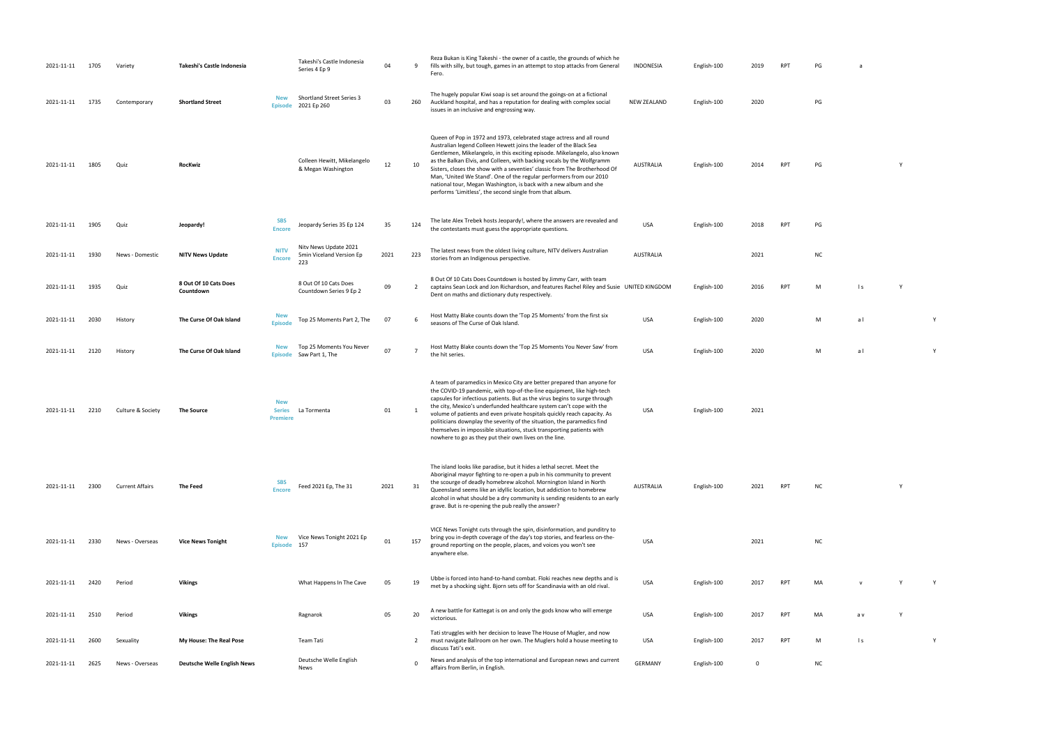the hit series and the hit series of the hit series. USA English-100 2020 M a l V and the Hit series of the Hi<br>The Hit series of the Hit series of the Hit series of the Hit series of the Hit series of the Hit series of th<br>

| 2021-11-11 | 1705 | Variety                | Takeshi's Castle Indonesia         |                                                | Takeshi's Castle Indonesia<br>Series 4 Ep 9              | 04   | 9                       | Reza Bukan is King Takeshi - the owner of a castle, the grounds of which he<br>fills with silly, but tough, games in an attempt to stop attacks from General<br>Fero.                                                                                                                                                                                                                                                                                                                                                                                                                            | <b>INDONESIA</b>   | English-100 | 2019 | <b>RPT</b> | PG        | a               |   |   |
|------------|------|------------------------|------------------------------------|------------------------------------------------|----------------------------------------------------------|------|-------------------------|--------------------------------------------------------------------------------------------------------------------------------------------------------------------------------------------------------------------------------------------------------------------------------------------------------------------------------------------------------------------------------------------------------------------------------------------------------------------------------------------------------------------------------------------------------------------------------------------------|--------------------|-------------|------|------------|-----------|-----------------|---|---|
| 2021-11-11 | 1735 | Contemporary           | <b>Shortland Street</b>            | New                                            | <b>Shortland Street Series 3</b><br>Episode 2021 Ep 260  | 03   | 260                     | The hugely popular Kiwi soap is set around the goings-on at a fictional<br>Auckland hospital, and has a reputation for dealing with complex social<br>issues in an inclusive and engrossing way.                                                                                                                                                                                                                                                                                                                                                                                                 | <b>NEW ZEALAND</b> | English-100 | 2020 |            | PG        |                 |   |   |
| 2021-11-11 | 1805 | Quiz                   | RocKwiz                            |                                                | Colleen Hewitt, Mikelangelo<br>& Megan Washington        | 12   | 10                      | Queen of Pop in 1972 and 1973, celebrated stage actress and all round<br>Australian legend Colleen Hewett joins the leader of the Black Sea<br>Gentlemen, Mikelangelo, in this exciting episode. Mikelangelo, also known<br>as the Balkan Elvis, and Colleen, with backing vocals by the Wolfgramm<br>Sisters, closes the show with a seventies' classic from The Brotherhood Of<br>Man, 'United We Stand'. One of the regular performers from our 2010<br>national tour, Megan Washington, is back with a new album and she<br>performs 'Limitless', the second single from that album.         | <b>AUSTRALIA</b>   | English-100 | 2014 | RPT        | PG        |                 |   |   |
| 2021-11-11 | 1905 | Quiz                   | Jeopardy!                          | <b>SBS</b><br><b>Encore</b>                    | Jeopardy Series 35 Ep 124                                | 35   | 124                     | The late Alex Trebek hosts Jeopardy!, where the answers are revealed and<br>the contestants must guess the appropriate questions.                                                                                                                                                                                                                                                                                                                                                                                                                                                                | <b>USA</b>         | English-100 | 2018 | <b>RPT</b> | PG        |                 |   |   |
| 2021-11-11 | 1930 | News - Domestic        | <b>NITV News Update</b>            | <b>NITV</b><br><b>Encore</b>                   | Nitv News Update 2021<br>5min Viceland Version Ep<br>223 | 2021 | 223                     | The latest news from the oldest living culture, NITV delivers Australian<br>stories from an Indigenous perspective.                                                                                                                                                                                                                                                                                                                                                                                                                                                                              | <b>AUSTRALIA</b>   |             | 2021 |            | <b>NC</b> |                 |   |   |
| 2021-11-11 | 1935 | Quiz                   | 8 Out Of 10 Cats Does<br>Countdown |                                                | 8 Out Of 10 Cats Does<br>Countdown Series 9 Ep 2         | 09   | 2                       | 8 Out Of 10 Cats Does Countdown is hosted by Jimmy Carr, with team<br>captains Sean Lock and Jon Richardson, and features Rachel Riley and Susie UNITED KINGDOM<br>Dent on maths and dictionary duty respectively.                                                                                                                                                                                                                                                                                                                                                                               |                    | English-100 | 2016 | <b>RPT</b> | M         | $\vert s \vert$ | Y |   |
| 2021-11-11 | 2030 | History                | The Curse Of Oak Island            | <b>New</b><br><b>Episode</b>                   | Top 25 Moments Part 2, The                               | 07   | 6                       | Host Matty Blake counts down the 'Top 25 Moments' from the first six<br>seasons of The Curse of Oak Island.                                                                                                                                                                                                                                                                                                                                                                                                                                                                                      | <b>USA</b>         | English-100 | 2020 |            | M         | al              |   | Y |
| 2021-11-11 | 2120 | History                | The Curse Of Oak Island            | <b>New</b>                                     | Top 25 Moments You Never<br>Episode Saw Part 1, The      | 07   | $\overline{7}$          | Host Matty Blake counts down the 'Top 25 Moments You Never Saw' from<br>the hit series.                                                                                                                                                                                                                                                                                                                                                                                                                                                                                                          | <b>USA</b>         | English-100 | 2020 |            | M         | al              |   | Y |
| 2021-11-11 | 2210 | Culture & Society      | <b>The Source</b>                  | <b>New</b><br><b>Series</b><br><b>Premiere</b> | La Tormenta                                              | 01   | $\overline{\mathbf{1}}$ | A team of paramedics in Mexico City are better prepared than anyone for<br>the COVID-19 pandemic, with top-of-the-line equipment, like high-tech<br>capsules for infectious patients. But as the virus begins to surge through<br>the city, Mexico's underfunded healthcare system can't cope with the<br>volume of patients and even private hospitals quickly reach capacity. As<br>politicians downplay the severity of the situation, the paramedics find<br>themselves in impossible situations, stuck transporting patients with<br>nowhere to go as they put their own lives on the line. | <b>USA</b>         | English-100 | 2021 |            |           |                 |   |   |
| 2021-11-11 | 2300 | <b>Current Affairs</b> | The Feed                           | <b>SBS</b><br><b>Encore</b>                    | Feed 2021 Ep, The 31                                     | 2021 | 31                      | The island looks like paradise, but it hides a lethal secret. Meet the<br>Aboriginal mayor fighting to re-open a pub in his community to prevent<br>the scourge of deadly homebrew alcohol. Mornington Island in North<br>Queensland seems like an idyllic location, but addiction to homebrew<br>alcohol in what should be a dry community is sending residents to an early<br>grave. But is re-opening the pub really the answer?                                                                                                                                                              | <b>AUSTRALIA</b>   | English-100 | 2021 | RPT        | <b>NC</b> |                 |   |   |
| 2021-11-11 | 2330 | News - Overseas        | <b>Vice News Tonight</b>           | New<br><b>Episode</b>                          | Vice News Tonight 2021 Ep<br>157                         | 01   | 157                     | VICE News Tonight cuts through the spin, disinformation, and punditry to<br>bring you in-depth coverage of the day's top stories, and fearless on-the-<br>ground reporting on the people, places, and voices you won't see<br>anywhere else.                                                                                                                                                                                                                                                                                                                                                     | <b>USA</b>         |             | 2021 |            | <b>NC</b> |                 |   |   |
| 2021-11-11 | 2420 | Period                 | <b>Vikings</b>                     |                                                | What Happens In The Cave                                 | 05   | 19                      | Ubbe is forced into hand-to-hand combat. Floki reaches new depths and is<br>met by a shocking sight. Bjorn sets off for Scandinavia with an old rival.                                                                                                                                                                                                                                                                                                                                                                                                                                           | <b>USA</b>         | English-100 | 2017 | <b>RPT</b> | MA        |                 |   |   |
| 2021-11-11 | 2510 | Period                 | <b>Vikings</b>                     |                                                | Ragnarok                                                 | 05   | 20                      | A new battle for Kattegat is on and only the gods know who will emerge<br>victorious.                                                                                                                                                                                                                                                                                                                                                                                                                                                                                                            | <b>USA</b>         | English-100 | 2017 | <b>RPT</b> | MA        | a v             | Υ |   |
| 2021-11-11 | 2600 | Sexuality              | My House: The Real Pose            |                                                | Team Tati                                                |      | 2                       | Tati struggles with her decision to leave The House of Mugler, and now<br>must navigate Ballroom on her own. The Muglers hold a house meeting to<br>discuss Tati's exit.                                                                                                                                                                                                                                                                                                                                                                                                                         | USA                | English-100 | 2017 | RPT        | M         | $\mathsf{I}$ s  |   | Y |
| 2021-11-11 | 2625 | News - Overseas        | <b>Deutsche Welle English News</b> |                                                | Deutsche Welle English<br>News                           |      | $\Omega$                | News and analysis of the top international and European news and current<br>affairs from Berlin, in English.                                                                                                                                                                                                                                                                                                                                                                                                                                                                                     | <b>GERMANY</b>     | English-100 | 0    |            | <b>NC</b> |                 |   |   |

| PG | a |
|----|---|
|    |   |
|    |   |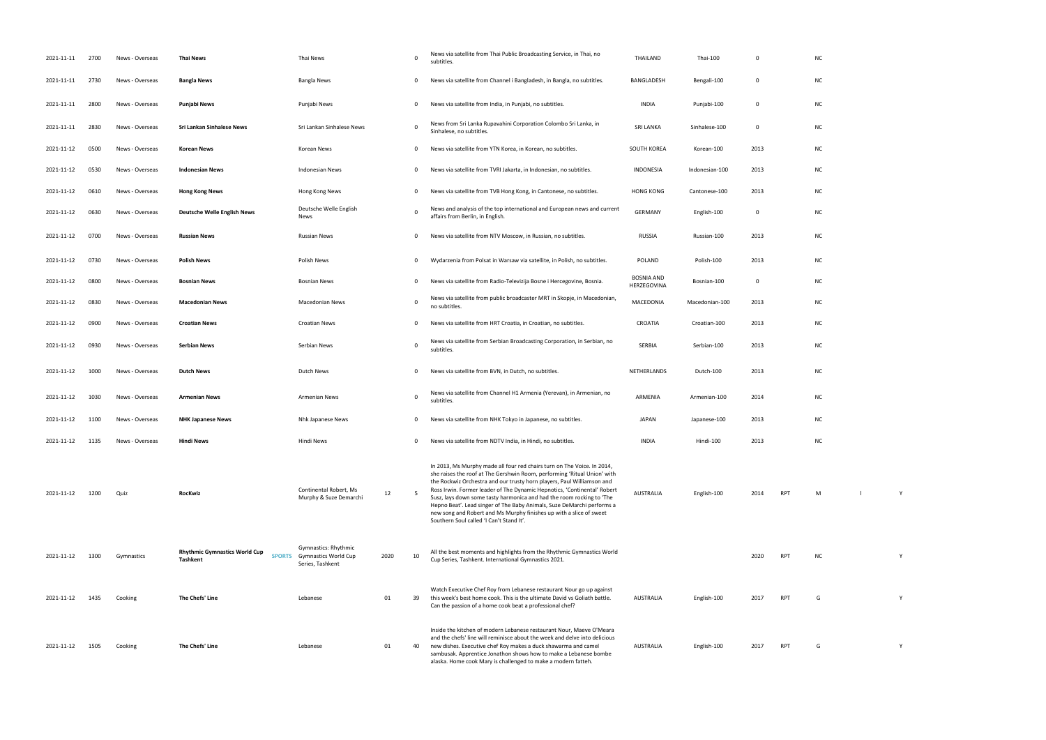| 2021-11-11      | 2700 | News - Overseas | <b>Thai News</b>                                                         | Thai News                                                               |      | 0               | News via satellite from Thai Public Broadcasting Service, in Thai, no<br>subtitles.                                                                                                                                                                                                                                                                                                                                                                                                                                                                                             | THAILAND                  | Thai-100       | 0    |            | <b>NC</b> |  |
|-----------------|------|-----------------|--------------------------------------------------------------------------|-------------------------------------------------------------------------|------|-----------------|---------------------------------------------------------------------------------------------------------------------------------------------------------------------------------------------------------------------------------------------------------------------------------------------------------------------------------------------------------------------------------------------------------------------------------------------------------------------------------------------------------------------------------------------------------------------------------|---------------------------|----------------|------|------------|-----------|--|
| 2021-11-11      | 2730 | News - Overseas | <b>Bangla News</b>                                                       | Bangla News                                                             |      | $\mathbf{0}$    | News via satellite from Channel i Bangladesh, in Bangla, no subtitles.                                                                                                                                                                                                                                                                                                                                                                                                                                                                                                          | BANGLADESH                | Bengali-100    | 0    |            | <b>NC</b> |  |
| 2021-11-11      | 2800 | News - Overseas | Punjabi News                                                             | Punjabi News                                                            |      | $\mathbf{0}$    | News via satellite from India, in Punjabi, no subtitles.                                                                                                                                                                                                                                                                                                                                                                                                                                                                                                                        | <b>INDIA</b>              | Punjabi-100    | 0    |            | <b>NC</b> |  |
| 2021-11-11      | 2830 | News - Overseas | Sri Lankan Sinhalese News                                                | Sri Lankan Sinhalese News                                               |      | 0               | News from Sri Lanka Rupavahini Corporation Colombo Sri Lanka, in<br>Sinhalese, no subtitles.                                                                                                                                                                                                                                                                                                                                                                                                                                                                                    | <b>SRI LANKA</b>          | Sinhalese-100  | 0    |            | <b>NC</b> |  |
| 2021-11-12      | 0500 | News - Overseas | <b>Korean News</b>                                                       | Korean News                                                             |      | $\mathbf{0}$    | News via satellite from YTN Korea, in Korean, no subtitles.                                                                                                                                                                                                                                                                                                                                                                                                                                                                                                                     | SOUTH KOREA               | Korean-100     | 2013 |            | <b>NC</b> |  |
| 2021-11-12      | 0530 | News - Overseas | <b>Indonesian News</b>                                                   | <b>Indonesian News</b>                                                  |      | $\mathbf{0}$    | News via satellite from TVRI Jakarta, in Indonesian, no subtitles.                                                                                                                                                                                                                                                                                                                                                                                                                                                                                                              | INDONESIA                 | Indonesian-100 | 2013 |            | <b>NC</b> |  |
| 2021-11-12      | 0610 | News - Overseas | <b>Hong Kong News</b>                                                    | Hong Kong News                                                          |      | $\mathbf{0}$    | News via satellite from TVB Hong Kong, in Cantonese, no subtitles.                                                                                                                                                                                                                                                                                                                                                                                                                                                                                                              | <b>HONG KONG</b>          | Cantonese-100  | 2013 |            | <b>NC</b> |  |
| 2021-11-12      | 0630 | News - Overseas | <b>Deutsche Welle English News</b>                                       | Deutsche Welle English<br>News                                          |      | $\mathbf 0$     | News and analysis of the top international and European news and current<br>affairs from Berlin, in English.                                                                                                                                                                                                                                                                                                                                                                                                                                                                    | <b>GERMANY</b>            | English-100    | 0    |            | <b>NC</b> |  |
| 2021-11-12      | 0700 | News - Overseas | <b>Russian News</b>                                                      | <b>Russian News</b>                                                     |      | 0               | News via satellite from NTV Moscow, in Russian, no subtitles.                                                                                                                                                                                                                                                                                                                                                                                                                                                                                                                   | RUSSIA                    | Russian-100    | 2013 |            | <b>NC</b> |  |
| 2021-11-12      | 0730 | News - Overseas | <b>Polish News</b>                                                       | Polish News                                                             |      | 0               | Wydarzenia from Polsat in Warsaw via satellite, in Polish, no subtitles.                                                                                                                                                                                                                                                                                                                                                                                                                                                                                                        | <b>POLAND</b>             | Polish-100     | 2013 |            | <b>NC</b> |  |
| 2021-11-12      | 0800 | News - Overseas | <b>Bosnian News</b>                                                      | <b>Bosnian News</b>                                                     |      | 0               | News via satellite from Radio-Televizija Bosne i Hercegovine, Bosnia.                                                                                                                                                                                                                                                                                                                                                                                                                                                                                                           | BOSNIA AND<br>HERZEGOVINA | Bosnian-100    | 0    |            | <b>NC</b> |  |
| 2021-11-12      | 0830 | News - Overseas | <b>Macedonian News</b>                                                   | Macedonian News                                                         |      | $\mathbf 0$     | News via satellite from public broadcaster MRT in Skopje, in Macedonian,<br>no subtitles.                                                                                                                                                                                                                                                                                                                                                                                                                                                                                       | MACEDONIA                 | Macedonian-100 | 2013 |            | <b>NC</b> |  |
| 2021-11-12      | 0900 | News - Overseas | <b>Croatian News</b>                                                     | Croatian News                                                           |      | 0               | News via satellite from HRT Croatia, in Croatian, no subtitles.                                                                                                                                                                                                                                                                                                                                                                                                                                                                                                                 | CROATIA                   | Croatian-100   | 2013 |            | <b>NC</b> |  |
| 2021-11-12      | 0930 | News - Overseas | <b>Serbian News</b>                                                      | Serbian News                                                            |      | 0               | News via satellite from Serbian Broadcasting Corporation, in Serbian, no<br>subtitles.                                                                                                                                                                                                                                                                                                                                                                                                                                                                                          | SERBIA                    | Serbian-100    | 2013 |            | <b>NC</b> |  |
| 2021-11-12      | 1000 | News - Overseas | <b>Dutch News</b>                                                        | Dutch News                                                              |      | 0               | News via satellite from BVN, in Dutch, no subtitles.                                                                                                                                                                                                                                                                                                                                                                                                                                                                                                                            | NETHERLANDS               | Dutch-100      | 2013 |            | <b>NC</b> |  |
| 2021-11-12      | 1030 | News - Overseas | <b>Armenian News</b>                                                     | <b>Armenian News</b>                                                    |      | $\mathbf 0$     | News via satellite from Channel H1 Armenia (Yerevan), in Armenian, no<br>subtitles.                                                                                                                                                                                                                                                                                                                                                                                                                                                                                             | ARMENIA                   | Armenian-100   | 2014 |            | <b>NC</b> |  |
| 2021-11-12      | 1100 | News - Overseas | <b>NHK Japanese News</b>                                                 | Nhk Japanese News                                                       |      | 0               | News via satellite from NHK Tokyo in Japanese, no subtitles.                                                                                                                                                                                                                                                                                                                                                                                                                                                                                                                    | JAPAN                     | Japanese-100   | 2013 |            | <b>NC</b> |  |
| 2021-11-12 1135 |      | News - Overseas | <b>Hindi News</b>                                                        | Hindi News                                                              |      | 0               | News via satellite from NDTV India, in Hindi, no subtitles.                                                                                                                                                                                                                                                                                                                                                                                                                                                                                                                     | <b>INDIA</b>              | Hindi-100      | 2013 |            | <b>NC</b> |  |
| 2021-11-12      | 1200 | Quiz            | RocKwiz                                                                  | Continental Robert, Ms<br>Murphy & Suze Demarchi                        | 12   | $5\overline{)}$ | In 2013, Ms Murphy made all four red chairs turn on The Voice. In 2014,<br>she raises the roof at The Gershwin Room, performing 'Ritual Union' with<br>the Rockwiz Orchestra and our trusty horn players, Paul Williamson and<br>Ross Irwin. Former leader of The Dynamic Hepnotics, 'Continental' Robert<br>Susz, lays down some tasty harmonica and had the room rocking to 'The<br>Hepno Beat'. Lead singer of The Baby Animals, Suze DeMarchi performs a<br>new song and Robert and Ms Murphy finishes up with a slice of sweet<br>Southern Soul called 'I Can't Stand It'. | <b>AUSTRALIA</b>          | English-100    | 2014 | <b>RPT</b> | M         |  |
| 2021-11-12      | 1300 | Gymnastics      | <b>Rhythmic Gymnastics World Cup</b><br><b>SPORTS</b><br><b>Tashkent</b> | Gymnastics: Rhythmic<br><b>Gymnastics World Cup</b><br>Series, Tashkent | 2020 | 10              | All the best moments and highlights from the Rhythmic Gymnastics World<br>Cup Series, Tashkent. International Gymnastics 2021.                                                                                                                                                                                                                                                                                                                                                                                                                                                  |                           |                | 2020 | <b>RPT</b> | <b>NC</b> |  |
| 2021-11-12      | 1435 | Cooking         | The Chefs' Line                                                          | Lebanese                                                                | 01   | 39              | Watch Executive Chef Roy from Lebanese restaurant Nour go up against<br>this week's best home cook. This is the ultimate David vs Goliath battle.<br>Can the passion of a home cook beat a professional chef?                                                                                                                                                                                                                                                                                                                                                                   | <b>AUSTRALIA</b>          | English-100    | 2017 | <b>RPT</b> | G         |  |
| 2021-11-12      | 1505 | Cooking         | The Chefs' Line                                                          | Lebanese                                                                | 01   | 40              | Inside the kitchen of modern Lebanese restaurant Nour, Maeve O'Meara<br>and the chefs' line will reminisce about the week and delve into delicious<br>new dishes. Executive chef Roy makes a duck shawarma and camel<br>sambusak. Apprentice Jonathon shows how to make a Lebanese bombe<br>alaska. Home cook Mary is challenged to make a modern fatteh.                                                                                                                                                                                                                       | AUSTRALIA                 | English-100    | 2017 | <b>RPT</b> | G         |  |

RPT M l Y RPT G Y RPT G Y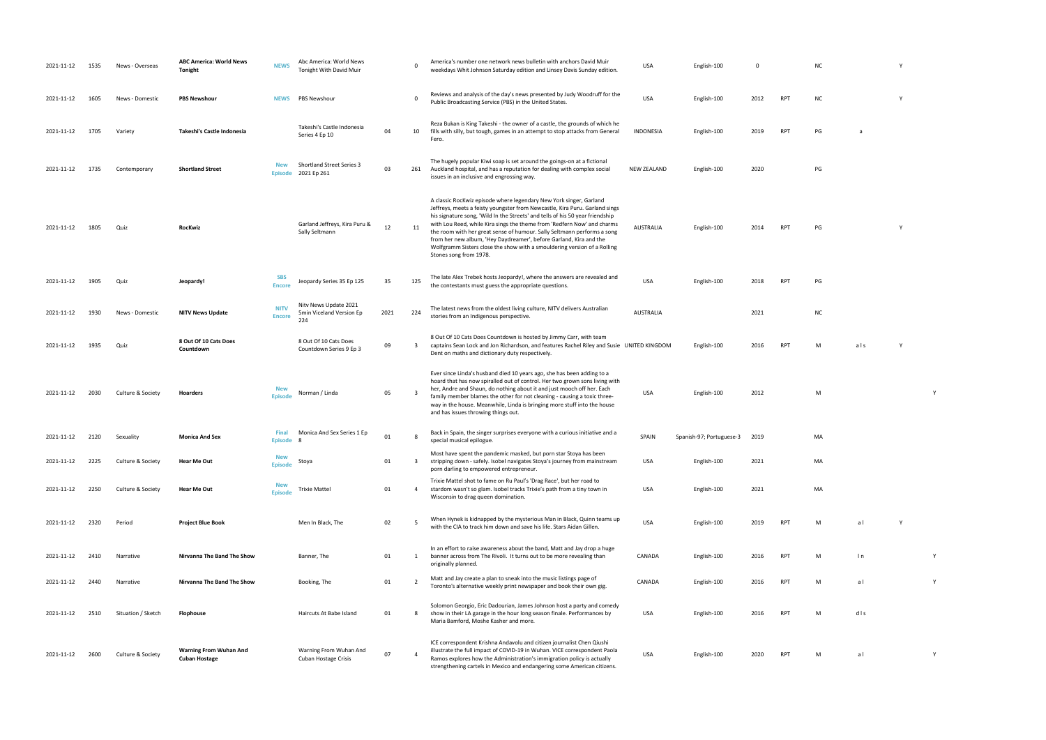| 2021-11-12 | 1535 | News - Overseas    | <b>ABC America: World News</b><br><b>Tonight</b>      | <b>NEWS</b>                  | Abc America: World News<br>Tonight With David Muir       |      | - 0          | America's number one network news bulletin with anchors David Muir<br>weekdays Whit Johnson Saturday edition and Linsey Davis Sunday edition.                                                                                                                                                                                                                                                                                                                                                                                                                        | <b>USA</b>         | English-100              | 0    |            | <b>NC</b> |     |  |
|------------|------|--------------------|-------------------------------------------------------|------------------------------|----------------------------------------------------------|------|--------------|----------------------------------------------------------------------------------------------------------------------------------------------------------------------------------------------------------------------------------------------------------------------------------------------------------------------------------------------------------------------------------------------------------------------------------------------------------------------------------------------------------------------------------------------------------------------|--------------------|--------------------------|------|------------|-----------|-----|--|
| 2021-11-12 | 1605 | News - Domestic    | <b>PBS Newshour</b>                                   | <b>NEWS</b>                  | PBS Newshour                                             |      | $\Omega$     | Reviews and analysis of the day's news presented by Judy Woodruff for the<br>Public Broadcasting Service (PBS) in the United States.                                                                                                                                                                                                                                                                                                                                                                                                                                 | USA                | English-100              | 2012 | <b>RPT</b> | <b>NC</b> |     |  |
| 2021-11-12 | 1705 | Variety            | Takeshi's Castle Indonesia                            |                              | Takeshi's Castle Indonesia<br>Series 4 Ep 10             | 04   | 10           | Reza Bukan is King Takeshi - the owner of a castle, the grounds of which he<br>fills with silly, but tough, games in an attempt to stop attacks from General<br>Fero.                                                                                                                                                                                                                                                                                                                                                                                                | <b>INDONESIA</b>   | English-100              | 2019 | <b>RPT</b> | PG        | a   |  |
| 2021-11-12 | 1735 | Contemporary       | <b>Shortland Street</b>                               | <b>New</b><br><b>Episode</b> | Shortland Street Series 3<br>2021 Ep 261                 | 03   | 261          | The hugely popular Kiwi soap is set around the goings-on at a fictional<br>Auckland hospital, and has a reputation for dealing with complex social<br>issues in an inclusive and engrossing way.                                                                                                                                                                                                                                                                                                                                                                     | <b>NEW ZEALAND</b> | English-100              | 2020 |            | PG        |     |  |
| 2021-11-12 | 1805 | Quiz               | RocKwiz                                               |                              | Garland Jeffreys, Kira Puru &<br>Sally Seltmann          | 12   | 11           | A classic RocKwiz episode where legendary New York singer, Garland<br>Jeffreys, meets a feisty youngster from Newcastle, Kira Puru. Garland sings<br>his signature song, 'Wild In the Streets' and tells of his 50 year friendship<br>with Lou Reed, while Kira sings the theme from 'Redfern Now' and charms<br>the room with her great sense of humour. Sally Seltmann performs a song<br>from her new album, 'Hey Daydreamer', before Garland, Kira and the<br>Wolfgramm Sisters close the show with a smouldering version of a Rolling<br>Stones song from 1978. | <b>AUSTRALIA</b>   | English-100              | 2014 | <b>RPT</b> | PG        |     |  |
| 2021-11-12 | 1905 | Quiz               | Jeopardy!                                             | <b>SBS</b><br><b>Encore</b>  | Jeopardy Series 35 Ep 125                                | 35   | 125          | The late Alex Trebek hosts Jeopardy!, where the answers are revealed and<br>the contestants must guess the appropriate questions.                                                                                                                                                                                                                                                                                                                                                                                                                                    | <b>USA</b>         | English-100              | 2018 | <b>RPT</b> | PG        |     |  |
| 2021-11-12 | 1930 | News - Domestic    | <b>NITV News Update</b>                               | <b>NITV</b><br><b>Encore</b> | Nity News Update 2021<br>5min Viceland Version Ep<br>224 | 2021 | 224          | The latest news from the oldest living culture, NITV delivers Australian<br>stories from an Indigenous perspective.                                                                                                                                                                                                                                                                                                                                                                                                                                                  | <b>AUSTRALIA</b>   |                          | 2021 |            | <b>NC</b> |     |  |
| 2021-11-12 | 1935 | Quiz               | 8 Out Of 10 Cats Does<br>Countdown                    |                              | 8 Out Of 10 Cats Does<br>Countdown Series 9 Ep 3         | 09   | $\mathbf{R}$ | 8 Out Of 10 Cats Does Countdown is hosted by Jimmy Carr, with team<br>captains Sean Lock and Jon Richardson, and features Rachel Riley and Susie UNITED KINGDOM<br>Dent on maths and dictionary duty respectively.                                                                                                                                                                                                                                                                                                                                                   |                    | English-100              | 2016 | <b>RPT</b> | м         | als |  |
| 2021-11-12 | 2030 | Culture & Society  | Hoarders                                              | <b>New</b><br><b>Episode</b> | Norman / Linda                                           | 05   |              | Ever since Linda's husband died 10 years ago, she has been adding to a<br>hoard that has now spiralled out of control. Her two grown sons living with<br>her, Andre and Shaun, do nothing about it and just mooch off her. Each<br>family member blames the other for not cleaning - causing a toxic three-<br>way in the house. Meanwhile, Linda is bringing more stuff into the house<br>and has issues throwing things out.                                                                                                                                       | USA                | English-100              | 2012 |            | M         |     |  |
| 2021-11-12 | 2120 | Sexuality          | <b>Monica And Sex</b>                                 | <b>Final</b><br>Episode 8    | Monica And Sex Series 1 Ep                               | 01   |              | Back in Spain, the singer surprises everyone with a curious initiative and a<br>special musical epilogue.                                                                                                                                                                                                                                                                                                                                                                                                                                                            | SPAIN              | Spanish-97; Portuguese-3 | 2019 |            | MA        |     |  |
| 2021-11-12 | 2225 | Culture & Society  | Hear Me Out                                           | <b>New</b><br><b>Episode</b> | Stoya                                                    | 01   | 3            | Most have spent the pandemic masked, but porn star Stoya has been<br>stripping down - safely. Isobel navigates Stoya's journey from mainstream<br>porn darling to empowered entrepreneur.                                                                                                                                                                                                                                                                                                                                                                            | USA                | English-100              | 2021 |            | MA        |     |  |
| 2021-11-12 | 2250 | Culture & Society  | <b>Hear Me Out</b>                                    | <b>New</b><br><b>Episode</b> | <b>Trixie Mattel</b>                                     | 01   | 4            | Trixie Mattel shot to fame on Ru Paul's 'Drag Race', but her road to<br>stardom wasn't so glam. Isobel tracks Trixie's path from a tiny town in<br>Wisconsin to drag queen domination.                                                                                                                                                                                                                                                                                                                                                                               | USA                | English-100              | 2021 |            | MA        |     |  |
| 2021-11-12 | 2320 | Period             | <b>Project Blue Book</b>                              |                              | Men In Black, The                                        | 02   |              | When Hynek is kidnapped by the mysterious Man in Black, Quinn teams up<br>with the CIA to track him down and save his life. Stars Aidan Gillen.                                                                                                                                                                                                                                                                                                                                                                                                                      | USA                | English-100              | 2019 | <b>RPT</b> | M         | al  |  |
| 2021-11-12 | 2410 | Narrative          | Nirvanna The Band The Show                            |                              | Banner, The                                              | 01   | 1            | In an effort to raise awareness about the band, Matt and Jay drop a huge<br>banner across from The Rivoli. It turns out to be more revealing than<br>originally planned.                                                                                                                                                                                                                                                                                                                                                                                             | CANADA             | English-100              | 2016 | RPT        | M         | ln  |  |
| 2021-11-12 | 2440 | Narrative          | Nirvanna The Band The Show                            |                              | Booking, The                                             | 01   | 2            | Matt and Jay create a plan to sneak into the music listings page of<br>Toronto's alternative weekly print newspaper and book their own gig.                                                                                                                                                                                                                                                                                                                                                                                                                          | CANADA             | English-100              | 2016 | RPT        | M         | al  |  |
| 2021-11-12 | 2510 | Situation / Sketch | Flophouse                                             |                              | Haircuts At Babe Island                                  | 01   | -8           | Solomon Georgio, Eric Dadourian, James Johnson host a party and comedy<br>show in their LA garage in the hour long season finale. Performances by<br>Maria Bamford, Moshe Kasher and more.                                                                                                                                                                                                                                                                                                                                                                           | USA                | English-100              | 2016 | <b>RPT</b> | M         | dls |  |
| 2021-11-12 | 2600 | Culture & Society  | <b>Warning From Wuhan And</b><br><b>Cuban Hostage</b> |                              | Warning From Wuhan And<br>Cuban Hostage Crisis           | 07   |              | ICE correspondent Krishna Andavolu and citizen journalist Chen Qiushi<br>illustrate the full impact of COVID-19 in Wuhan. VICE correspondent Paola<br>Ramos explores how the Administration's immigration policy is actually<br>strengthening cartels in Mexico and endangering some American citizens.                                                                                                                                                                                                                                                              | USA                | English-100              | 2020 | RPT        | м         | al  |  |

- PUBLIC BROADCASTING STATES. USA ENGLISH-100 2012 RPT NC Y
- INDONESIA English-100 2019 RPT PG a
	-
	-
- RPT PG Y
	-
	-
	-
- RPT M als Y
	-
	- USA English-100 2012 M Y
		-
		-
		-
		-
		-
	- PT M ln Y
		-
	- PT M d l s
- RPT M a l Y
- 
- 
- 
- 
- 
- 
- 
- 
- 
- 
- 
- 
- 
- 
-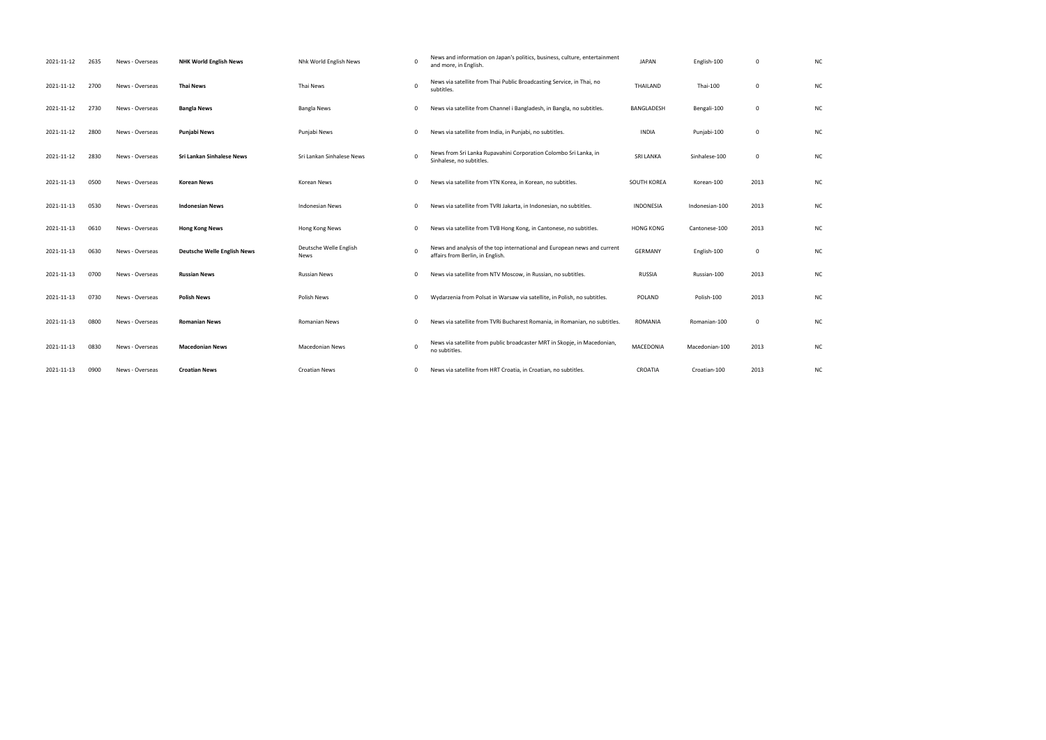| 2021-11-12 | 2635 | News - Overseas | <b>NHK World English News</b>      | Nhk World English News         | 0        | News and information on Japan's politics, business, culture, entertainment<br>and more, in English.          | <b>JAPAN</b>     | English-100    | 0              | <b>NC</b> |
|------------|------|-----------------|------------------------------------|--------------------------------|----------|--------------------------------------------------------------------------------------------------------------|------------------|----------------|----------------|-----------|
| 2021-11-12 | 2700 | News - Overseas | <b>Thai News</b>                   | Thai News                      | $\Omega$ | News via satellite from Thai Public Broadcasting Service, in Thai, no<br>subtitles.                          | THAILAND         | Thai-100       | $\mathbf 0$    | <b>NC</b> |
| 2021-11-12 | 2730 | News - Overseas | <b>Bangla News</b>                 | <b>Bangla News</b>             | 0        | News via satellite from Channel i Bangladesh, in Bangla, no subtitles.                                       | BANGLADESH       | Bengali-100    | $\mathbf 0$    | <b>NC</b> |
| 2021-11-12 | 2800 | News - Overseas | Punjabi News                       | Punjabi News                   | 0        | News via satellite from India, in Punjabi, no subtitles.                                                     | <b>INDIA</b>     | Punjabi-100    | $\mathbf 0$    | <b>NC</b> |
| 2021-11-12 | 2830 | News - Overseas | <b>Sri Lankan Sinhalese News</b>   | Sri Lankan Sinhalese News      | 0        | News from Sri Lanka Rupavahini Corporation Colombo Sri Lanka, in<br>Sinhalese, no subtitles.                 | <b>SRI LANKA</b> | Sinhalese-100  | $\mathbf 0$    | <b>NC</b> |
| 2021-11-13 | 0500 | News - Overseas | <b>Korean News</b>                 | Korean News                    | $\Omega$ | News via satellite from YTN Korea, in Korean, no subtitles.                                                  | SOUTH KOREA      | Korean-100     | 2013           | N0        |
| 2021-11-13 | 0530 | News - Overseas | <b>Indonesian News</b>             | <b>Indonesian News</b>         | 0        | News via satellite from TVRI Jakarta, in Indonesian, no subtitles.                                           | <b>INDONESIA</b> | Indonesian-100 | 2013           | <b>NC</b> |
| 2021-11-13 | 0610 | News - Overseas | <b>Hong Kong News</b>              | Hong Kong News                 | 0        | News via satellite from TVB Hong Kong, in Cantonese, no subtitles.                                           | <b>HONG KONG</b> | Cantonese-100  | 2013           | <b>NC</b> |
| 2021-11-13 | 0630 | News - Overseas | <b>Deutsche Welle English News</b> | Deutsche Welle English<br>News | $\Omega$ | News and analysis of the top international and European news and current<br>affairs from Berlin, in English. | <b>GERMANY</b>   | English-100    | $\overline{0}$ | <b>NC</b> |
| 2021-11-13 | 0700 | News - Overseas | <b>Russian News</b>                | <b>Russian News</b>            | 0        | News via satellite from NTV Moscow, in Russian, no subtitles.                                                | <b>RUSSIA</b>    | Russian-100    | 2013           | <b>NC</b> |
| 2021-11-13 | 0730 | News - Overseas | <b>Polish News</b>                 | Polish News                    | 0        | Wydarzenia from Polsat in Warsaw via satellite, in Polish, no subtitles.                                     | POLAND           | Polish-100     | 2013           | <b>NC</b> |
| 2021-11-13 | 0800 | News - Overseas | <b>Romanian News</b>               | <b>Romanian News</b>           | 0        | News via satellite from TVRi Bucharest Romania, in Romanian, no subtitles.                                   | ROMANIA          | Romanian-100   | $\mathbf 0$    | <b>NC</b> |
| 2021-11-13 | 0830 | News - Overseas | <b>Macedonian News</b>             | <b>Macedonian News</b>         | $\Omega$ | News via satellite from public broadcaster MRT in Skopje, in Macedonian,<br>no subtitles.                    | MACEDONIA        | Macedonian-100 | 2013           | <b>NC</b> |
| 2021-11-13 | 0900 | News - Overseas | <b>Croatian News</b>               | <b>Croatian News</b>           | $\Omega$ | News via satellite from HRT Croatia, in Croatian, no subtitles.                                              | CROATIA          | Croatian-100   | 2013           | <b>NC</b> |

| NC |  |  |  |
|----|--|--|--|
| NC |  |  |  |
| NC |  |  |  |
| NC |  |  |  |
| NC |  |  |  |
| NC |  |  |  |
| NC |  |  |  |
| NC |  |  |  |
| NC |  |  |  |
| NC |  |  |  |
| NC |  |  |  |
| NC |  |  |  |
| NC |  |  |  |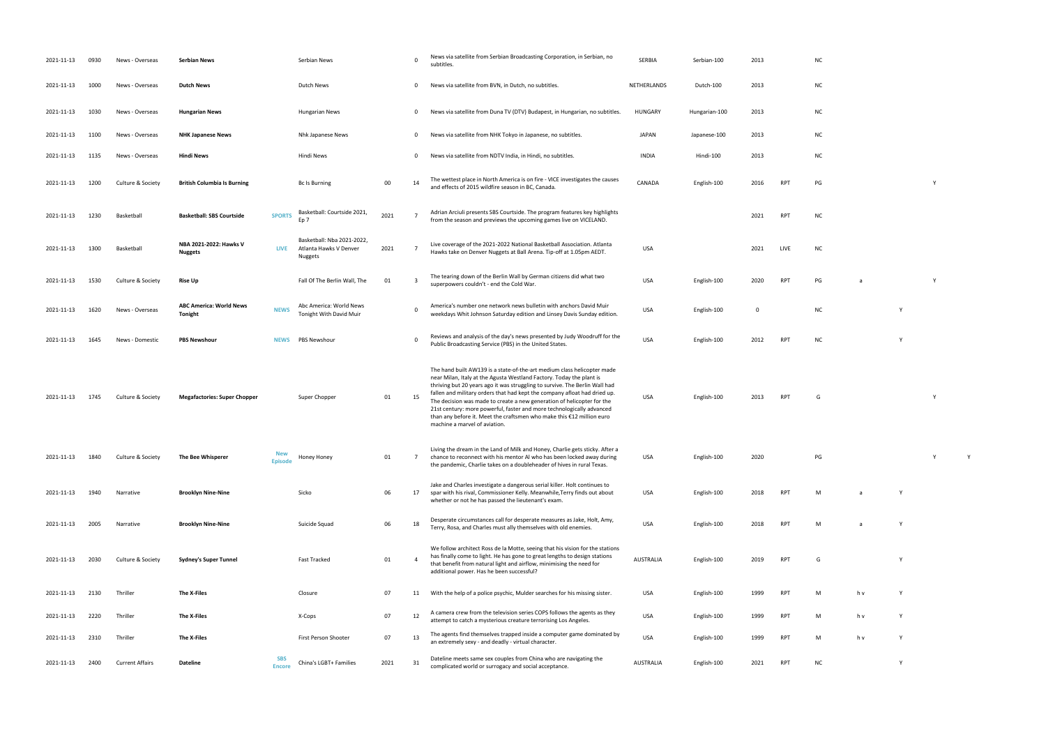| 2021-11-13 | 0930 | News - Overseas        | <b>Serbian News</b>                       |                             | Serbian News                                                           |      | $\Omega$     | News via satellite from Serbian Broadcasting Corporation, in Serbian, no<br>subtitles.                                                                                                                                                                                                                                                                                                                                                                                                                                                                                   | SERBIA           | Serbian-100   | 2013        |            | N0        |
|------------|------|------------------------|-------------------------------------------|-----------------------------|------------------------------------------------------------------------|------|--------------|--------------------------------------------------------------------------------------------------------------------------------------------------------------------------------------------------------------------------------------------------------------------------------------------------------------------------------------------------------------------------------------------------------------------------------------------------------------------------------------------------------------------------------------------------------------------------|------------------|---------------|-------------|------------|-----------|
| 2021-11-13 | 1000 | News - Overseas        | <b>Dutch News</b>                         |                             | Dutch News                                                             |      | $\mathbf{0}$ | News via satellite from BVN, in Dutch, no subtitles.                                                                                                                                                                                                                                                                                                                                                                                                                                                                                                                     | NETHERLANDS      | Dutch-100     | 2013        |            | <b>NC</b> |
| 2021-11-13 | 1030 | News - Overseas        | <b>Hungarian News</b>                     |                             | <b>Hungarian News</b>                                                  |      | 0            | News via satellite from Duna TV (DTV) Budapest, in Hungarian, no subtitles.                                                                                                                                                                                                                                                                                                                                                                                                                                                                                              | <b>HUNGARY</b>   | Hungarian-100 | 2013        |            | <b>NC</b> |
| 2021-11-13 | 1100 | News - Overseas        | <b>NHK Japanese News</b>                  |                             | Nhk Japanese News                                                      |      | $\mathbf{0}$ | News via satellite from NHK Tokyo in Japanese, no subtitles.                                                                                                                                                                                                                                                                                                                                                                                                                                                                                                             | <b>JAPAN</b>     | Japanese-100  | 2013        |            | N0        |
| 2021-11-13 | 1135 | News - Overseas        | <b>Hindi News</b>                         |                             | Hindi News                                                             |      | 0            | News via satellite from NDTV India, in Hindi, no subtitles.                                                                                                                                                                                                                                                                                                                                                                                                                                                                                                              | <b>INDIA</b>     | Hindi-100     | 2013        |            | <b>NC</b> |
| 2021-11-13 | 1200 | Culture & Society      | <b>British Columbia Is Burning</b>        |                             | Bc Is Burning                                                          | 00   | 14           | The wettest place in North America is on fire - VICE investigates the causes<br>and effects of 2015 wildfire season in BC, Canada.                                                                                                                                                                                                                                                                                                                                                                                                                                       | CANADA           | English-100   | 2016        | <b>RPT</b> | PG        |
| 2021-11-13 | 1230 | Basketball             | <b>Basketball: SBS Courtside</b>          | <b>SPORTS</b>               | Basketball: Courtside 2021,<br>Ep <sub>7</sub>                         | 2021 |              | Adrian Arciuli presents SBS Courtside. The program features key highlights<br>from the season and previews the upcoming games live on VICELAND.                                                                                                                                                                                                                                                                                                                                                                                                                          |                  |               | 2021        | <b>RPT</b> | NC        |
| 2021-11-13 | 1300 | Basketball             | NBA 2021-2022: Hawks V<br><b>Nuggets</b>  | <b>LIVE</b>                 | Basketball: Nba 2021-2022,<br>Atlanta Hawks V Denver<br><b>Nuggets</b> | 2021 |              | Live coverage of the 2021-2022 National Basketball Association. Atlanta<br>Hawks take on Denver Nuggets at Ball Arena. Tip-off at 1.05pm AEDT.                                                                                                                                                                                                                                                                                                                                                                                                                           | <b>USA</b>       |               | 2021        | LIVE       | <b>NC</b> |
| 2021-11-13 | 1530 | Culture & Society      | <b>Rise Up</b>                            |                             | Fall Of The Berlin Wall, The                                           | 01   | 3            | The tearing down of the Berlin Wall by German citizens did what two<br>superpowers couldn't - end the Cold War.                                                                                                                                                                                                                                                                                                                                                                                                                                                          | <b>USA</b>       | English-100   | 2020        | <b>RPT</b> | PG        |
| 2021-11-13 | 1620 | News - Overseas        | <b>ABC America: World News</b><br>Tonight | <b>NEWS</b>                 | Abc America: World News<br>Tonight With David Muir                     |      | $\mathbf 0$  | America's number one network news bulletin with anchors David Muir<br>weekdays Whit Johnson Saturday edition and Linsey Davis Sunday edition.                                                                                                                                                                                                                                                                                                                                                                                                                            | <b>USA</b>       | English-100   | $\mathbf 0$ |            | NC        |
| 2021-11-13 | 1645 | News - Domestic        | <b>PBS Newshour</b>                       | <b>NEWS</b>                 | PBS Newshour                                                           |      | $\Omega$     | Reviews and analysis of the day's news presented by Judy Woodruff for the<br>Public Broadcasting Service (PBS) in the United States.                                                                                                                                                                                                                                                                                                                                                                                                                                     | <b>USA</b>       | English-100   | 2012        | <b>RPT</b> | N         |
| 2021-11-13 | 1745 | Culture & Society      | <b>Megafactories: Super Chopper</b>       |                             | Super Chopper                                                          | 01   | 15           | The hand built AW139 is a state-of-the-art medium class helicopter made<br>near Milan, Italy at the Agusta Westland Factory. Today the plant is<br>thriving but 20 years ago it was struggling to survive. The Berlin Wall had<br>fallen and military orders that had kept the company afloat had dried up.<br>The decision was made to create a new generation of helicopter for the<br>21st century: more powerful, faster and more technologically advanced<br>than any before it. Meet the craftsmen who make this €12 million euro<br>machine a marvel of aviation. | <b>USA</b>       | English-100   | 2013        | <b>RPT</b> | G         |
| 2021-11-13 | 1840 | Culture & Society      | The Bee Whisperer                         | <b>New</b><br>Episode       | Honey Honey                                                            | 01   | 7            | Living the dream in the Land of Milk and Honey, Charlie gets sticky. After a<br>chance to reconnect with his mentor AI who has been locked away during<br>the pandemic, Charlie takes on a doubleheader of hives in rural Texas.                                                                                                                                                                                                                                                                                                                                         | <b>USA</b>       | English-100   | 2020        |            | PG        |
| 2021-11-13 | 1940 | Narrative              | <b>Brooklyn Nine-Nine</b>                 |                             | Sicko                                                                  | 06   | 17           | Jake and Charles investigate a dangerous serial killer. Holt continues to<br>spar with his rival, Commissioner Kelly. Meanwhile, Terry finds out about<br>whether or not he has passed the lieutenant's exam.                                                                                                                                                                                                                                                                                                                                                            | USA              | English-100   | 2018        | <b>RPT</b> | M         |
| 2021-11-13 | 2005 | Narrative              | <b>Brooklyn Nine-Nine</b>                 |                             | Suicide Squad                                                          | 06   | 18           | Desperate circumstances call for desperate measures as Jake, Holt, Amy,<br>Terry, Rosa, and Charles must ally themselves with old enemies.                                                                                                                                                                                                                                                                                                                                                                                                                               | <b>USA</b>       | English-100   | 2018        | <b>RPT</b> | M         |
| 2021-11-13 | 2030 | Culture & Society      | <b>Sydney's Super Tunnel</b>              |                             | <b>Fast Tracked</b>                                                    | 01   |              | We follow architect Ross de la Motte, seeing that his vision for the stations<br>has finally come to light. He has gone to great lengths to design stations<br>that benefit from natural light and airflow, minimising the need for<br>additional power. Has he been successful?                                                                                                                                                                                                                                                                                         | <b>AUSTRALIA</b> | English-100   | 2019        | RPT        | G         |
| 2021-11-13 | 2130 | Thriller               | The X-Files                               |                             | Closure                                                                | 07   | 11           | With the help of a police psychic, Mulder searches for his missing sister.                                                                                                                                                                                                                                                                                                                                                                                                                                                                                               | USA              | English-100   | 1999        | RPT        | М         |
| 2021-11-13 | 2220 | Thriller               | The X-Files                               |                             | X-Cops                                                                 | 07   | 12           | A camera crew from the television series COPS follows the agents as they<br>attempt to catch a mysterious creature terrorising Los Angeles.                                                                                                                                                                                                                                                                                                                                                                                                                              | USA              | English-100   | 1999        | RPT        | М         |
| 2021-11-13 | 2310 | Thriller               | The X-Files                               |                             | First Person Shooter                                                   | 07   | 13           | The agents find themselves trapped inside a computer game dominated by<br>an extremely sexy - and deadly - virtual character.                                                                                                                                                                                                                                                                                                                                                                                                                                            | <b>USA</b>       | English-100   | 1999        | RPT        | M         |
| 2021-11-13 | 2400 | <b>Current Affairs</b> | Dateline                                  | <b>SBS</b><br><b>Encore</b> | China's LGBT+ Families                                                 | 2021 | 31           | Dateline meets same sex couples from China who are navigating the<br>complicated world or surrogacy and social acceptance.                                                                                                                                                                                                                                                                                                                                                                                                                                               | AUSTRALIA        | English-100   | 2021        | RPT        | <b>NC</b> |

- 
- 
- 
- 
- 
- and effects of 2015 wildfire season in BC, Canada. CANADA English-100 <sup>2016</sup> RPT PG <sup>Y</sup>
	-
	-
- $S$  end the Cold Marshall Cold War. USA English-100 2020 RPT PG a  $\alpha$  Y
- weekdays Whit Johnson Saturday edition and Linsey Davis Sunday edition. USA English-100 <sup>0</sup> NC <sup>Y</sup>
- PUBLIC BROADCASTING STATES. USA ENGLISH-100 2012 RPT NC Y
	-
- RPT G Y
- PG Y Y Y
- RPT M a Y
- Terry, Rosa, and Charles must ally themselves with old enemies. USA English-100 <sup>2018</sup> RPT <sup>M</sup> a Y
- AUSTRALIA English-100 2019 RPT G Y
- 2021-11-13 2130 Thriller **The X-Files** Closure 07 11 With the help of a police psychic, Mulder searches for his missing sister. USA English-100 1999 RPT M h v Y
- attempt to catch a mysterious creature terrorising Los Angeles. USA English-100 <sup>1999</sup> RPT <sup>M</sup> h v Y and the sextence of the virtual character. USA English-100 Virtual character. USA English-100 Virtual character<br>The character of the virtual character. USA English-100 virtual character. USA English-100 virtual character.
- complicated world or surrogacy and social acceptance. AUSTRALIA English-100 <sup>2021</sup> RPT NC <sup>Y</sup>
- 
- 
- 
- 
- 
- 
- 
- 
- 
- 
-